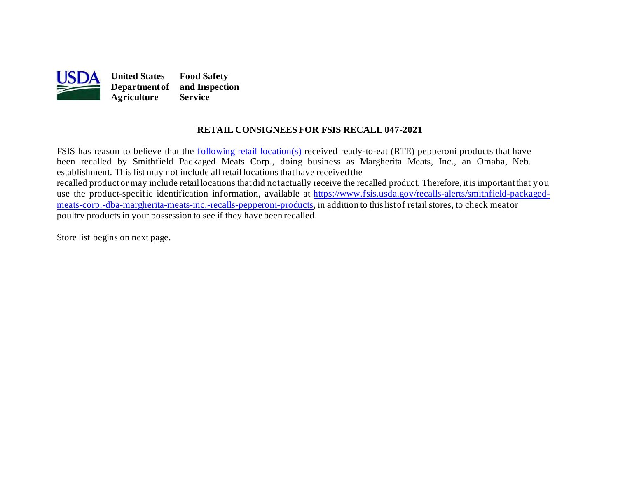

#### **RETAIL CONSIGNEES FOR FSIS RECALL 047-2021**

FSIS has reason to believe that the [following retail location\(s\)](#page-1-0) received ready-to-eat (RTE) pepperoni products that have been recalled by Smithfield Packaged Meats Corp., doing business as Margherita Meats, Inc., an Omaha, Neb. establishment. This list may not include all retail locations thathave received the recalled productor may include retaillocations thatdid not actually receive the recalled product. Therefore, itis importantthat you [meats-corp.-dba-margherita-meats-inc.-recalls-pepperoni-products](https://www.fsis.usda.gov/recalls-alerts/smithfield-packaged-meats-corp.-dba-margherita-meats-inc.-recalls-pepperoni-products), in addition to this list of retail stores, to check meat or use the product-specific identification information, available at [https://www.fsis.usda.gov/recalls-alerts/smithfield-packaged](https://www.fsis.usda.gov/recalls-alerts/smithfield-packaged-meats-corp.-dba-margherita-meats-inc.-recalls-pepperoni-products)poultry products in your possession to see if they have been recalled.

Store list begins on [next page.](#page-1-0)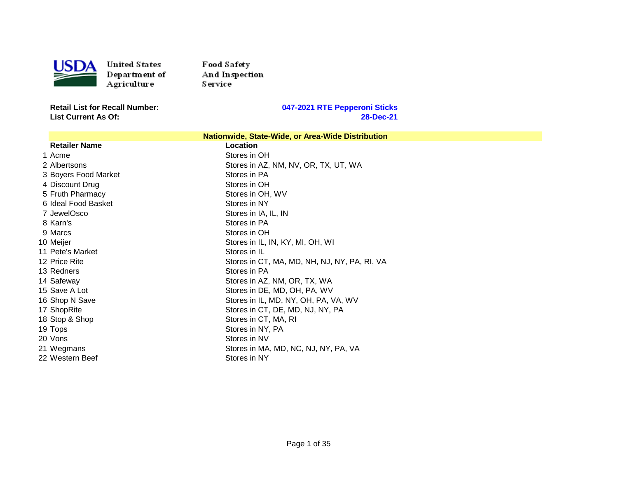<span id="page-1-0"></span>

Food Safety And Inspection Service

**List Current As Of:** 

|                      | Nationwide, State-Wide, or Area-Wide Distribution |
|----------------------|---------------------------------------------------|
| <b>Retailer Name</b> | Location                                          |
| 1 Acme               | Stores in OH                                      |
| 2 Albertsons         | Stores in AZ, NM, NV, OR, TX, UT, WA              |
| 3 Boyers Food Market | Stores in PA                                      |
| 4 Discount Drug      | Stores in OH                                      |
| 5 Fruth Pharmacy     | Stores in OH, WV                                  |
| 6 Ideal Food Basket  | Stores in NY                                      |
| 7 JewelOsco          | Stores in IA, IL, IN                              |
| 8 Karn's             | Stores in PA                                      |
| 9 Marcs              | Stores in OH                                      |
| 10 Meijer            | Stores in IL, IN, KY, MI, OH, WI                  |
| 11 Pete's Market     | Stores in IL                                      |
| 12 Price Rite        | Stores in CT, MA, MD, NH, NJ, NY, PA, RI, VA      |
| 13 Redners           | Stores in PA                                      |
| 14 Safeway           | Stores in AZ, NM, OR, TX, WA                      |
| 15 Save A Lot        | Stores in DE, MD, OH, PA, WV                      |
| 16 Shop N Save       | Stores in IL, MD, NY, OH, PA, VA, WV              |
| 17 ShopRite          | Stores in CT, DE, MD, NJ, NY, PA                  |
| 18 Stop & Shop       | Stores in CT, MA, RI                              |
| 19 Tops              | Stores in NY, PA                                  |
| 20 Vons              | Stores in NV                                      |
| 21 Wegmans           | Stores in MA, MD, NC, NJ, NY, PA, VA              |
| 22 Western Beef      | Stores in NY                                      |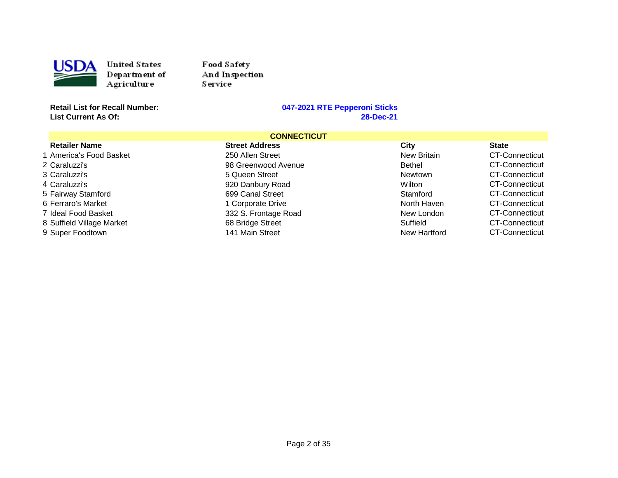

Food Safety And Inspection Service

**List Current As Of:** 

| <b>CONNECTICUT</b>        |                       |                |                |
|---------------------------|-----------------------|----------------|----------------|
| <b>Retailer Name</b>      | <b>Street Address</b> | City           | <b>State</b>   |
| 1 America's Food Basket   | 250 Allen Street      | New Britain    | CT-Connecticut |
| 2 Caraluzzi's             | 98 Greenwood Avenue   | <b>Bethel</b>  | CT-Connecticut |
| 3 Caraluzzi's             | 5 Queen Street        | <b>Newtown</b> | CT-Connecticut |
| 4 Caraluzzi's             | 920 Danbury Road      | Wilton         | CT-Connecticut |
| 5 Fairway Stamford        | 699 Canal Street      | Stamford       | CT-Connecticut |
| 6 Ferraro's Market        | 1 Corporate Drive     | North Haven    | CT-Connecticut |
| 7 Ideal Food Basket       | 332 S. Frontage Road  | New London     | CT-Connecticut |
| 8 Suffield Village Market | 68 Bridge Street      | Suffield       | CT-Connecticut |
| 9 Super Foodtown          | 141 Main Street       | New Hartford   | CT-Connecticut |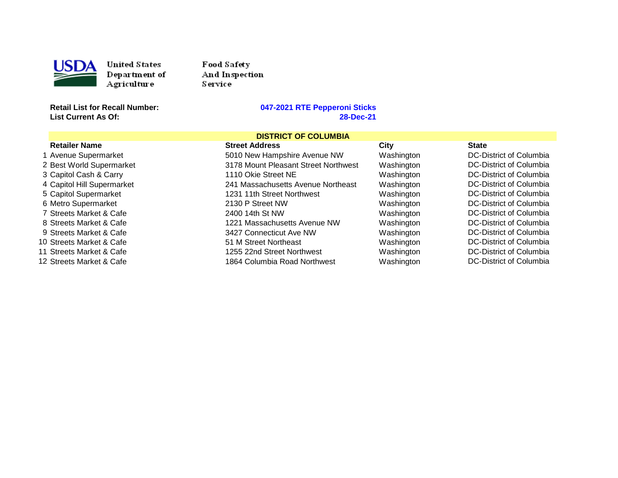

Food Safety And Inspection Service

**Retail List for Recall Number:** 

#### **047-2021 RTE Pepperoni Sticks List Current As Of: 28-Dec-21**

#### **DISTRICT OF COLUMBIA**<br>Street Address Retailer Name Street Address City State 1 Avenue Supermarket 5010 New Hampshire Avenue NW Washington DC-District of Columbia 2 Best World Supermarket 3178 Mount Pleasant Street Northwest Washington DC-District of Columbia 3 Capitol Cash & Carry 1110 Okie Street NE Washington DC-District of Columbia 4 Capitol Hill Supermarket 241 Massachusetts Avenue Northeast Washington DC-District of Columbia 5 Capitol Supermarket 1231 11th Street Northwest Washington DC-District of Columbia 6 Metro Supermarket 2130 P Street NW Washington DC-District of Columbia 7 Streets Market & Cafe 2400 14th St NW Washington DC-District of Columbia 8 Streets Market & Cafe 1221 Massachusetts Avenue NW Washington DC-District of Columbia 9 Streets Market & Cafe **3427 Connecticut Ave NW** Washington **DC-District of Columbia** 10 Streets Market & Cafe The Street School and Street Northeast Northeast National Mashington DC-District of Columbia 11 Streets Market & Cafe 1255 22nd Street Northwest Market Mashington 1255 22nd Street Northwest 2016 12 Streets Market & Cafe 1864 Columbia Road Northwest National DC-District of Columbia Columbia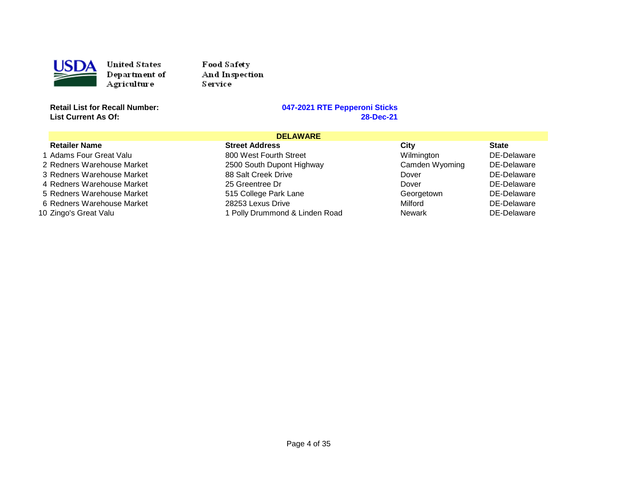

Food Safety And Inspection Service

**List Current As Of:** 

| <b>DELAWARE</b>            |                                |                |              |
|----------------------------|--------------------------------|----------------|--------------|
| <b>Retailer Name</b>       | <b>Street Address</b>          | City           | <b>State</b> |
| 1 Adams Four Great Valu    | 800 West Fourth Street         | Wilmington     | DE-Delaware  |
| 2 Redners Warehouse Market | 2500 South Dupont Highway      | Camden Wyoming | DE-Delaware  |
| 3 Redners Warehouse Market | 88 Salt Creek Drive            | Dover          | DE-Delaware  |
| 4 Redners Warehouse Market | 25 Greentree Dr                | Dover          | DE-Delaware  |
| 5 Redners Warehouse Market | 515 College Park Lane          | Georgetown     | DE-Delaware  |
| 6 Redners Warehouse Market | 28253 Lexus Drive              | Milford        | DE-Delaware  |
| 10 Zingo's Great Valu      | 1 Polly Drummond & Linden Road | <b>Newark</b>  | DE-Delaware  |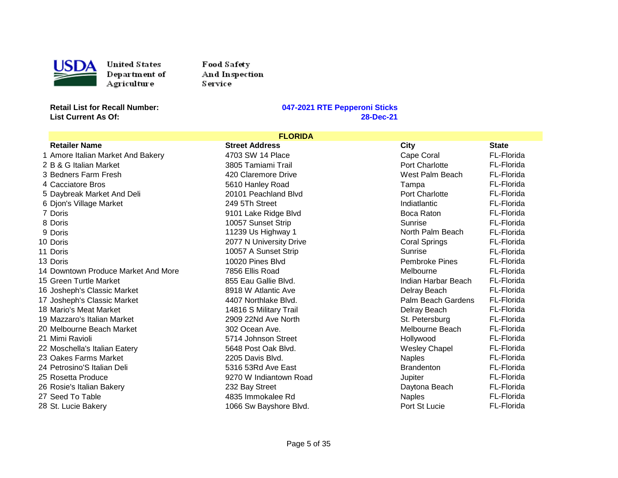

Food Safety And Inspection Service

#### **Retail List for Recall Number: 047-2021 RTE Pepperoni Sticks List Current As Of: 28-Dec-21**

#### **FLORIDA**<br>Street Address Retailer Name Street Address City State 1 Amore Italian Market And Bakery 1990 1200 4703 SW 14 Place 1991 12 Cape Coral 1997 FL-Florida 2 B & G Italian Market **3805 Tamiami Trail** 2 B & G Italian Port Charlotte **PL-Florida** 3 Bedners Farm Fresh Theory of the 420 Claremore Drive Theory Mest Palm Beach The FL-Florida 4 Cacciatore Bros 66 Club Controllery Road Tampa Tampa FL-Florida Cacciatore Bros 610 Hanley Road Tampa and Tampa 5 Daybreak Market And Deli 20101 Peachland Blvd Port Charlotte FL-Florida 6 Djon's Village Market 249 5Th Street Indiatlantic FL-Florida 7 Doris 9101 Lake Ridge Blvd Boca Raton FL-Florida 8 Doris **10057 Sunset Strip Sunrise** Sunrise FL-Florida Sunrise FL-Florida 9 Doris **11239 Us Highway 1** North Palm Beach FL-Florida **North Palm Beach** FL-Florida 10 Doris **10 Doris 200 Example 200 Provide** 2077 N University Drive Coral Springs Coral Springs FL-Florida 11 Doris **10057 A Sunset Strip Sunrise** Sunrise FL-Florida Sunrise FL-Florida 13 Doris 10020 Pines Blvd Pembroke Pines FL-Florida 14 Downtown Produce Market And More **7856 Ellis Road** Melbourne Melbourne FL-Florida 15 Green Turtle Market **855 Eau Gallie Blvd.** Indian Harbar Beach FL-Florida 16 Josheph's Classic Market The State 8918 W Atlantic Ave **Deltay Beach Classic Market** FL-Florida 17 Josheph's Classic Market **18 Classic Market 17 Josheph's Classic Market** 16 Australian 17 Josheph's Classic Market 18 Mario's Meat Market 14816 S Military Trail Delray Beach FL-Florida 19 Mazzaro's Italian Market 2909 22Nd Ave North St. Petersburg FL-Florida 20 Melbourne Beach Market 302 Ocean Ave. Melbourne Beach FL-Florida 21 Mimi Ravioli **1988** Controller in the Street Controller Street Article and Street Article and Street Article and Street Article and Street Article and Street Article and Street Article and Street Article and Street Arti 22 Moschella's Italian Eatery **1988 1991 Stater Act Act 25648 Post Oak Blvd.** Mesley Chapel 1998 FL-Florida 23 Oakes Farms Market **2205 Davis Blvd.** Naples Naples FL-Florida 24 Petrosino'S Italian Deli 5316 53Rd Ave East Brandenton FL-Florida 25 Rosetta Produce 9270 W Indiantown Road Jupiter FL-Florida 26 Rosie's Italian Bakery 232 Bay Street Daytona Beach FL-Florida 27 Seed To Table 1 12 Contract the 4835 Immokalee Rd Naples 1 27 Seed To Table FL-Florida 28 St. Lucie Bakery **1066 Sw Bayshore Blvd.** Port St Lucie FL-Florida FL-Florida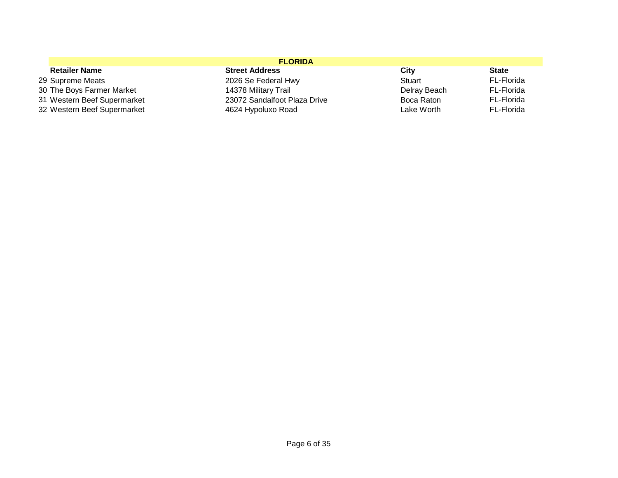| <b>FLORIDA</b>                                        |                              |              |            |  |  |
|-------------------------------------------------------|------------------------------|--------------|------------|--|--|
| City<br><b>Retailer Name</b><br><b>Street Address</b> |                              |              |            |  |  |
| 29 Supreme Meats                                      | 2026 Se Federal Hwy          | Stuart       | FL-Florida |  |  |
| 30 The Boys Farmer Market                             | 14378 Military Trail         | Delray Beach | FL-Florida |  |  |
| 31 Western Beef Supermarket                           | 23072 Sandalfoot Plaza Drive | Boca Raton   | FL-Florida |  |  |
| 32 Western Beef Supermarket                           | 4624 Hypoluxo Road           | Lake Worth   | FL-Florida |  |  |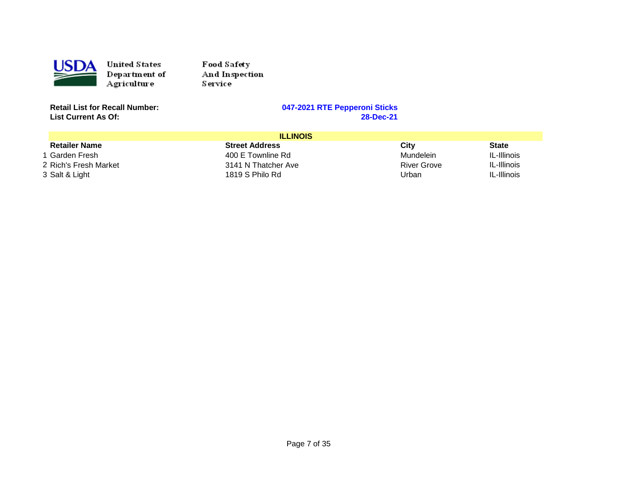

Food Safety And Inspection Service

**List Current As Of:** 

| <b>ILLINOIS</b>       |                       |             |              |
|-----------------------|-----------------------|-------------|--------------|
| <b>Retailer Name</b>  | <b>Street Address</b> | Citv        | <b>State</b> |
| 1 Garden Fresh        | 400 E Townline Rd     | Mundelein   | IL-Illinois  |
| 2 Rich's Fresh Market | 3141 N Thatcher Ave   | River Grove | IL-Illinois  |
| 3 Salt & Light        | 1819 S Philo Rd       | Urban       | IL-Illinois  |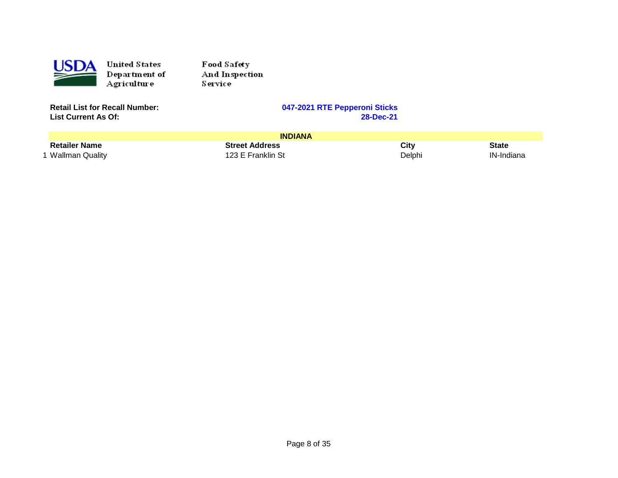

Food Safety And Inspection Service

**List Current As Of:** 

| <b>INDIANA</b>       |                       |        |            |
|----------------------|-----------------------|--------|------------|
| <b>Retailer Name</b> | <b>Street Address</b> | City   | State      |
| 1 Wallman Quality    | 123 E Franklin St     | Delphi | IN-Indiana |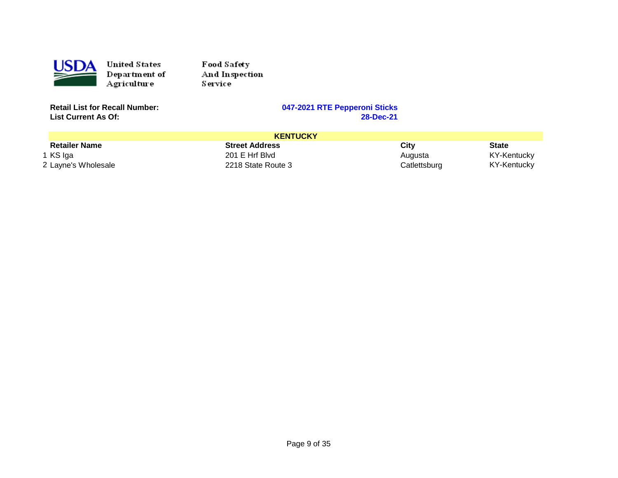

Food Safety And Inspection S ervice

**List Current As Of:** 

| <b>KENTUCKY</b>                                                       |                    |              |             |  |
|-----------------------------------------------------------------------|--------------------|--------------|-------------|--|
| City<br><b>Retailer Name</b><br><b>Street Address</b><br><b>State</b> |                    |              |             |  |
| 1 KS Iga                                                              | 201 E Hrf Blyd     | Augusta      | KY-Kentucky |  |
| 2 Layne's Wholesale                                                   | 2218 State Route 3 | Catlettsburg | KY-Kentucky |  |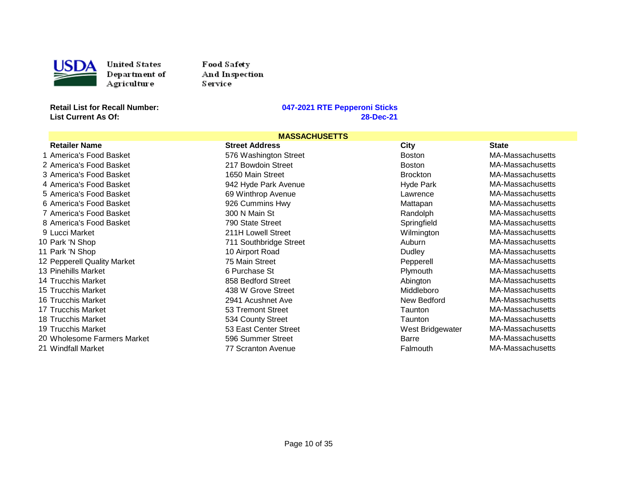

Food Safety And Inspection Service

**Retail List for Recall Number:** 

#### **047-2021 RTE Pepperoni Sticks List Current As Of: 28-Dec-21**

#### 9 Lucci Market 10 Park 'N Shop 711 Southbridge Street Auburn MA-Massachusetts **Dudley**  12 Pepperell Quality Market 75 Main Street Pepperell MA-Massachusetts 13 Pinehills Market 14 Trucchis Market 15 Trucchis Market 16 Trucchis Market 17 Trucchis Market 18 Trucchis Market 19 Trucchis Market 20 Wholesome Farmers Market 596 Summer Street Barre MA-Massachusetts 21 Windfall Market **MASSACHUSETTS**<br>Street Address Retailer Name Street Address City State 1 America's Food Basket **1.2 Contract 10 Street** 576 Washington Street **Boston** Boston MA-Massachusetts 2 America's Food Basket 2008 and 217 Bowdoin Street America's Boston MA-Massachusetts 3 America's Food Basket 1650 Main Street 1650 Main Street 1650 Main Street 1650 Manner Brockton MA-Massachusetts 4 America's Food Basket The State of the S42 Hyde Park Avenue The Hyde Park MA-Massachusetts 5 America's Food Basket 69 Winthrop Avenue Lawrence MA-Massachusetts 6 America's Food Basket **6 America's Food Basket 1998** Section 1926 Cummins Hwy Mattapan MA-Massachusetts MA-Massachusetts 7 America's Food Basket 200 N Main St Randolph MA-Massachusetts NA-Massachusetts 8 America's Food Basket The State Street The Springfield Controller MA-Massachusetts 211H Lowell Street **Arkeline Community Community** Market Wilmington MA-Massachusetts 11 Park 'N Shop 10 Airport Road Dudley MA-Massachusetts 13 Pinehills Market **Access Access Access Access Access Access** 6 Purchase St **Access Access Plymouth** MA-Massachusetts 14 Trucchis Market 858 Bedford Street Abington MA-Massachusetts 15 Trucchis Market 438 W Grove Street Middleboro MA-Massachusetts 16 Trucchis Market 2941 Acushnet Ave New Bedford MA-Massachusetts 17 Trucchis Market **18 Trucchis Market** 17 Trucchis Ma-Massachusetts **53** Tremont Street **Trucchis Ma-Massachusetts** 18 Trucchis Market 534 County Street Taunton MA-Massachusetts 19 Trucks and Truckhis Market Street Market Bridgewater MA-Massachusetts 21 Windfall Market **1986 Contract 1999 Stranding T7 Scranton** Avenue **Falmouth** Falmouth MA-Massachusetts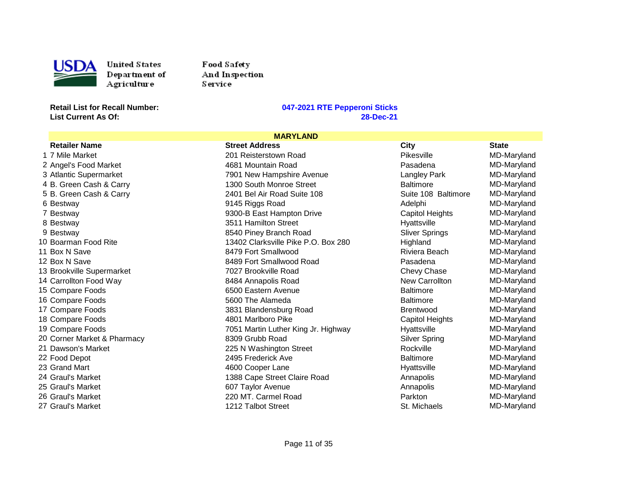

Food Safety And Inspection

Service

#### **Retail List for Recall Number: 047-2021 RTE Pepperoni Sticks List Current As Of: 28-Dec-21**

#### 12 Box N Save **MARYLAND**<br>Street Address Retailer Name Street Address City State 1 7 Mile Market 201 Reisterstown Road Pikesville MD-Maryland 2 Angel's Food Market 4681 Mountain Road Pasadena MD-Maryland 3 Atlantic Supermarket The Control of The Table 7901 New Hampshire Avenue The Langley Park The MD-Maryland 4 B. Green Cash & Carry **1300 South Monroe Street** Baltimore Baltimore MD-Maryland 5 B. Green Cash & Carry 2401 Bel Air Road Suite 108 Suite 108 Baltimore MD-Maryland 6 Bestway 9145 Riggs Road Adelphi MD-Maryland 7 Bestway 9300-B East Hampton Drive Capitol Heights MD-Maryland 8 Bestway **3511 Hamilton Street** All Annual Hyattsville MD-Maryland MD-Maryland 9 Bestway 8540 Piney Branch Road Sliver Springs MD-Maryland 10 Boarman Food Rite 1340 Clarksville Pike P.O. Box 280 Highland MD-Maryland MD-Maryland 11 Box N Save **8479 Fort Smallwood** Riviera Beach MD-Maryland Riviera Beach MD-Maryland 8489 Fort Smallwood Road **No. 12 Box 12 September 2016** Pasadena MD-Maryland 13 Brookville Supermarket 7027 Brookville Road Chevy Chase MD-Maryland 14 Carrollton Food Way **8484 Annapolis Road** New Carrollton MD-Maryland MD-Maryland 15 Compare Foods **6500 Eastern Avenue** 6500 Eastern Avenue **Baltimore** Baltimore MD-Maryland 16 Compare Foods **16 Compare Foods** 5600 The Alameda **16 Compare MD-Maryland** MD-Maryland 17 Compare Foods 3831 Blandensburg Road Brentwood MD-Maryland 18 Compare Foods **18 Compare Foods** 4801 Marlboro Pike Capitol Heights MD-Maryland 19 Compare Foods **7051 Martin Luther King Jr. Highway** Hyattsville MD-Maryland Hyattsville 20 Corner Market & Pharmacy 8309 Grubb Road Silver Spring MD-Maryland 21 Dawson's Market 225 N Washington Street Rockville MD-Maryland 22 Food Depot **2006 Contract Automobile 2495 Frederick** Ave **22 Food Depot Automobile MD-Maryland** 23 Grand Mart **1988 Cooper Lane Hyattsville** MD-Maryland Mo-Maryland Afford Affond Cooper Lane **Hyattsville** MD-Maryland 24 Graul's Market 1388 Cape Street Claire Road Annapolis MD-Maryland MD-Maryland 25 Graul's Market 607 Taylor Avenue Annapolis MD-Maryland 26 Graul's Market 220 MT. Carmel Road Parkton MD-Maryland 27 Graul's Market **1212 Talbot Street** 1212 Talbot Street St. Michaels MD-Maryland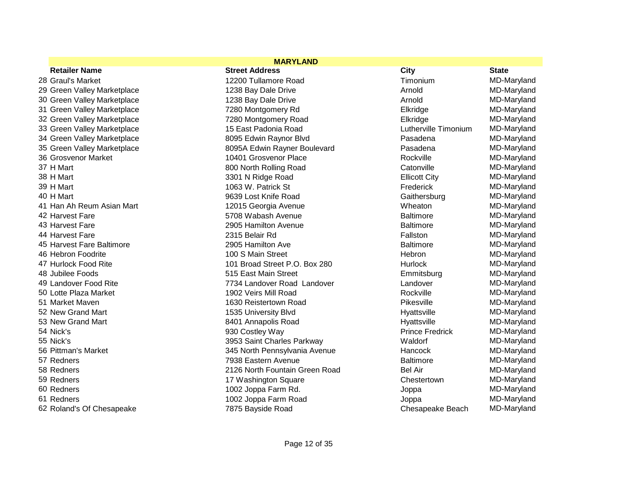| <b>MARYLAND</b>             |                                |                        |              |
|-----------------------------|--------------------------------|------------------------|--------------|
| <b>Retailer Name</b>        | <b>Street Address</b>          | <b>City</b>            | <b>State</b> |
| 28 Graul's Market           | 12200 Tullamore Road           | Timonium               | MD-Maryland  |
| 29 Green Valley Marketplace | 1238 Bay Dale Drive            | Arnold                 | MD-Maryland  |
| 30 Green Valley Marketplace | 1238 Bay Dale Drive            | Arnold                 | MD-Maryland  |
| 31 Green Valley Marketplace | 7280 Montgomery Rd             | Elkridge               | MD-Maryland  |
| 32 Green Valley Marketplace | 7280 Montgomery Road           | Elkridge               | MD-Maryland  |
| 33 Green Valley Marketplace | 15 East Padonia Road           | Lutherville Timonium   | MD-Maryland  |
| 34 Green Valley Marketplace | 8095 Edwin Raynor Blvd         | Pasadena               | MD-Maryland  |
| 35 Green Valley Marketplace | 8095A Edwin Rayner Boulevard   | Pasadena               | MD-Maryland  |
| 36 Grosvenor Market         | 10401 Grosvenor Place          | Rockville              | MD-Maryland  |
| 37 H Mart                   | 800 North Rolling Road         | Catonville             | MD-Maryland  |
| 38 H Mart                   | 3301 N Ridge Road              | <b>Ellicott City</b>   | MD-Maryland  |
| 39 H Mart                   | 1063 W. Patrick St             | Frederick              | MD-Maryland  |
| 40 H Mart                   | 9639 Lost Knife Road           | Gaithersburg           | MD-Maryland  |
| 41 Han Ah Reum Asian Mart   | 12015 Georgia Avenue           | Wheaton                | MD-Maryland  |
| 42 Harvest Fare             | 5708 Wabash Avenue             | <b>Baltimore</b>       | MD-Maryland  |
| 43 Harvest Fare             | 2905 Hamilton Avenue           | <b>Baltimore</b>       | MD-Maryland  |
| 44 Harvest Fare             | 2315 Belair Rd                 | Fallston               | MD-Maryland  |
| 45 Harvest Fare Baltimore   | 2905 Hamilton Ave              | <b>Baltimore</b>       | MD-Maryland  |
| 46 Hebron Foodrite          | 100 S Main Street              | Hebron                 | MD-Maryland  |
| 47 Hurlock Food Rite        | 101 Broad Street P.O. Box 280  | <b>Hurlock</b>         | MD-Maryland  |
| 48 Jubilee Foods            | 515 East Main Street           | Emmitsburg             | MD-Maryland  |
| 49 Landover Food Rite       | 7734 Landover Road Landover    | Landover               | MD-Maryland  |
| 50 Lotte Plaza Market       | 1902 Veirs Mill Road           | Rockville              | MD-Maryland  |
| 51 Market Maven             | 1630 Reistertown Road          | Pikesville             | MD-Maryland  |
| 52 New Grand Mart           | 1535 University Blvd           | Hyattsville            | MD-Maryland  |
| 53 New Grand Mart           | 8401 Annapolis Road            | Hyattsville            | MD-Maryland  |
| 54 Nick's                   | 930 Costley Way                | <b>Prince Fredrick</b> | MD-Maryland  |
| 55 Nick's                   | 3953 Saint Charles Parkway     | Waldorf                | MD-Maryland  |
| 56 Pittman's Market         | 345 North Pennsylvania Avenue  | Hancock                | MD-Maryland  |
| 57 Redners                  | 7938 Eastern Avenue            | <b>Baltimore</b>       | MD-Maryland  |
| 58 Redners                  | 2126 North Fountain Green Road | <b>Bel Air</b>         | MD-Maryland  |
| 59 Redners                  | 17 Washington Square           | Chestertown            | MD-Maryland  |
| 60 Redners                  | 1002 Joppa Farm Rd.            | Joppa                  | MD-Maryland  |
| 61 Redners                  | 1002 Joppa Farm Road           | Joppa                  | MD-Maryland  |
| 62 Roland's Of Chesapeake   | 7875 Bayside Road              | Chesapeake Beach       | MD-Maryland  |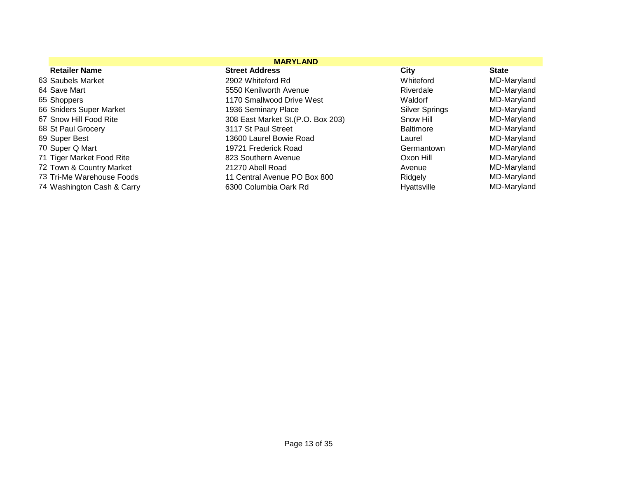|                            | <b>MARYLAND</b>                    |                       |              |
|----------------------------|------------------------------------|-----------------------|--------------|
| <b>Retailer Name</b>       | <b>Street Address</b>              | City                  | <b>State</b> |
| 63 Saubels Market          | 2902 Whiteford Rd                  | Whiteford             | MD-Maryland  |
| 64 Save Mart               | 5550 Kenilworth Avenue             | Riverdale             | MD-Maryland  |
| 65 Shoppers                | 1170 Smallwood Drive West          | Waldorf               | MD-Maryland  |
| 66 Sniders Super Market    | 1936 Seminary Place                | <b>Silver Springs</b> | MD-Maryland  |
| 67 Snow Hill Food Rite     | 308 East Market St. (P.O. Box 203) | Snow Hill             | MD-Maryland  |
| 68 St Paul Grocery         | 3117 St Paul Street                | <b>Baltimore</b>      | MD-Maryland  |
| 69 Super Best              | 13600 Laurel Bowie Road            | Laurel                | MD-Maryland  |
| 70 Super Q Mart            | 19721 Frederick Road               | Germantown            | MD-Maryland  |
| 71 Tiger Market Food Rite  | 823 Southern Avenue                | Oxon Hill             | MD-Maryland  |
| 72 Town & Country Market   | 21270 Abell Road                   | Avenue                | MD-Maryland  |
| 73 Tri-Me Warehouse Foods  | 11 Central Avenue PO Box 800       | Ridgely               | MD-Maryland  |
| 74 Washington Cash & Carry | 6300 Columbia Oark Rd              | Hyattsville           | MD-Maryland  |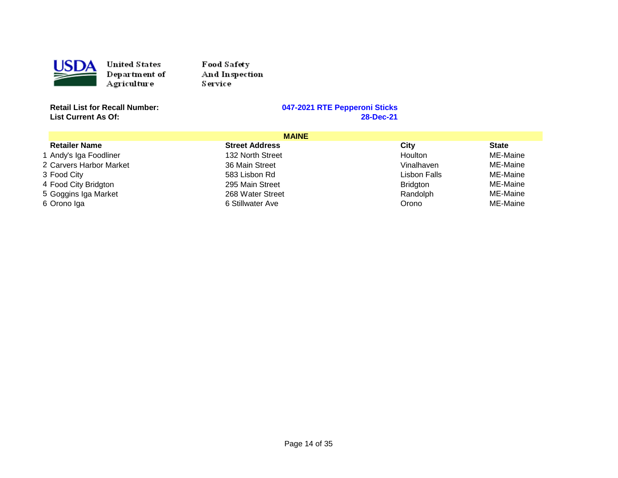

Food Safety And Inspection Service<sup>1</sup>

**List Current As Of:** 

| <b>MAINE</b>            |                       |                 |              |
|-------------------------|-----------------------|-----------------|--------------|
| <b>Retailer Name</b>    | <b>Street Address</b> | City            | <b>State</b> |
| 1 Andy's Iga Foodliner  | 132 North Street      | <b>Houlton</b>  | ME-Maine     |
| 2 Carvers Harbor Market | 36 Main Street        | Vinalhaven      | ME-Maine     |
| 3 Food City             | 583 Lisbon Rd         | Lisbon Falls    | ME-Maine     |
| 4 Food City Bridgton    | 295 Main Street       | <b>Bridgton</b> | ME-Maine     |
| 5 Goggins Iga Market    | 268 Water Street      | Randolph        | ME-Maine     |
| 6 Orono Iga             | 6 Stillwater Ave      | Orono           | ME-Maine     |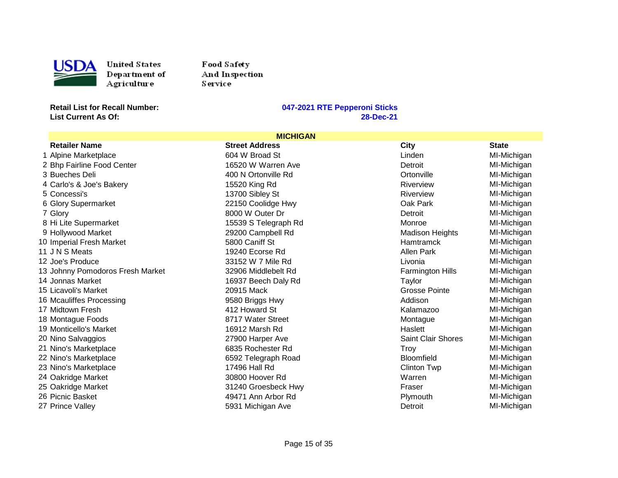

Food Safety And Inspection Service

**List Current As Of:** 

|                                  | <b>MICHIGAN</b>       |                         |              |
|----------------------------------|-----------------------|-------------------------|--------------|
| <b>Retailer Name</b>             | <b>Street Address</b> | <b>City</b>             | <b>State</b> |
| 1 Alpine Marketplace             | 604 W Broad St        | Linden                  | MI-Michigan  |
| 2 Bhp Fairline Food Center       | 16520 W Warren Ave    | Detroit                 | MI-Michigan  |
| 3 Bueches Deli                   | 400 N Ortonville Rd   | Ortonville              | MI-Michigan  |
| 4 Carlo's & Joe's Bakery         | 15520 King Rd         | Riverview               | MI-Michigan  |
| 5 Concessi's                     | 13700 Sibley St       | Riverview               | MI-Michigan  |
| 6 Glory Supermarket              | 22150 Coolidge Hwy    | Oak Park                | MI-Michigan  |
| 7 Glory                          | 8000 W Outer Dr       | Detroit                 | MI-Michigan  |
| 8 Hi Lite Supermarket            | 15539 S Telegraph Rd  | Monroe                  | MI-Michigan  |
| 9 Hollywood Market               | 29200 Campbell Rd     | <b>Madison Heights</b>  | MI-Michigan  |
| 10 Imperial Fresh Market         | 5800 Caniff St        | <b>Hamtramck</b>        | MI-Michigan  |
| 11 J N S Meats                   | 19240 Ecorse Rd       | Allen Park              | MI-Michigan  |
| 12 Joe's Produce                 | 33152 W 7 Mile Rd     | Livonia                 | MI-Michigan  |
| 13 Johnny Pomodoros Fresh Market | 32906 Middlebelt Rd   | <b>Farmington Hills</b> | MI-Michigan  |
| 14 Jonnas Market                 | 16937 Beech Daly Rd   | Taylor                  | MI-Michigan  |
| 15 Licavoli's Market             | 20915 Mack            | Grosse Pointe           | MI-Michigan  |
| 16 Mcauliffes Processing         | 9580 Briggs Hwy       | Addison                 | MI-Michigan  |
| 17 Midtown Fresh                 | 412 Howard St         | Kalamazoo               | MI-Michigan  |
| 18 Montague Foods                | 8717 Water Street     | Montague                | MI-Michigan  |
| 19 Monticello's Market           | 16912 Marsh Rd        | Haslett                 | MI-Michigan  |
| 20 Nino Salvaggios               | 27900 Harper Ave      | Saint Clair Shores      | MI-Michigan  |
| 21 Nino's Marketplace            | 6835 Rochester Rd     | Troy                    | MI-Michigan  |
| 22 Nino's Marketplace            | 6592 Telegraph Road   | <b>Bloomfield</b>       | MI-Michigan  |
| 23 Nino's Marketplace            | 17496 Hall Rd         | Clinton Twp             | MI-Michigan  |
| 24 Oakridge Market               | 30800 Hoover Rd       | Warren                  | MI-Michigan  |
| 25 Oakridge Market               | 31240 Groesbeck Hwy   | Fraser                  | MI-Michigan  |
| 26 Picnic Basket                 | 49471 Ann Arbor Rd    | Plymouth                | MI-Michigan  |
| 27 Prince Valley                 | 5931 Michigan Ave     | Detroit                 | MI-Michigan  |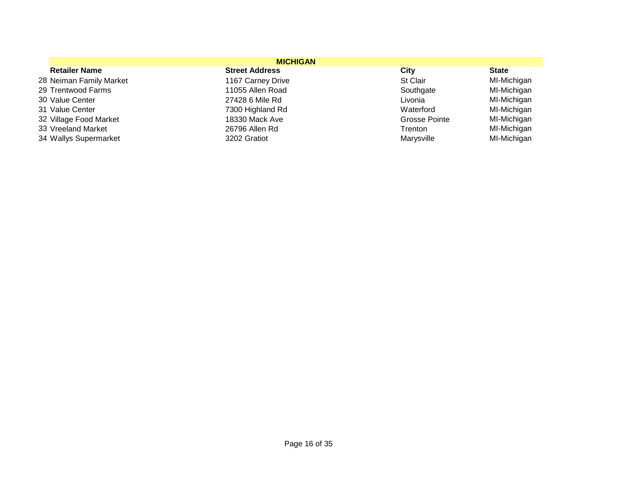| <b>MICHIGAN</b>         |                       |               |              |
|-------------------------|-----------------------|---------------|--------------|
| <b>Retailer Name</b>    | <b>Street Address</b> | City          | <b>State</b> |
| 28 Neiman Family Market | 1167 Carney Drive     | St Clair      | MI-Michigan  |
| 29 Trentwood Farms      | 11055 Allen Road      | Southgate     | MI-Michigan  |
| 30 Value Center         | 27428 6 Mile Rd       | Livonia       | MI-Michigan  |
| 31 Value Center         | 7300 Highland Rd      | Waterford     | MI-Michigan  |
| 32 Village Food Market  | 18330 Mack Ave        | Grosse Pointe | MI-Michigan  |
| 33 Vreeland Market      | 26796 Allen Rd        | Trenton       | MI-Michigan  |
| 34 Wallys Supermarket   | 3202 Gratiot          | Marysville    | MI-Michigan  |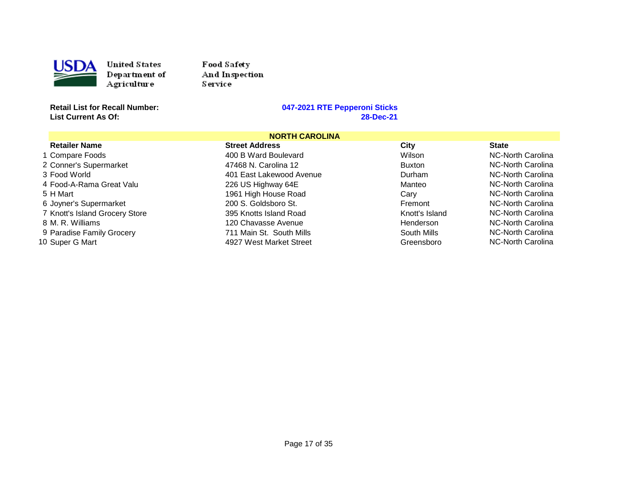

Food Sa fety And Inspection Service

**List Current As Of:** 

|                                | <b>NORTH CAROLINA</b>    |                |                   |
|--------------------------------|--------------------------|----------------|-------------------|
| <b>Retailer Name</b>           | <b>Street Address</b>    | City           | <b>State</b>      |
| 1 Compare Foods                | 400 B Ward Boulevard     | Wilson         | NC-North Carolina |
| 2 Conner's Supermarket         | 47468 N. Carolina 12     | <b>Buxton</b>  | NC-North Carolina |
| 3 Food World                   | 401 East Lakewood Avenue | Durham         | NC-North Carolina |
| 4 Food-A-Rama Great Valu       | 226 US Highway 64E       | Manteo         | NC-North Carolina |
| 5 H Mart                       | 1961 High House Road     | Cary           | NC-North Carolina |
| 6 Joyner's Supermarket         | 200 S. Goldsboro St.     | Fremont        | NC-North Carolina |
| 7 Knott's Island Grocery Store | 395 Knotts Island Road   | Knott's Island | NC-North Carolina |
| 8 M. R. Williams               | 120 Chavasse Avenue      | Henderson      | NC-North Carolina |
| 9 Paradise Family Grocery      | 711 Main St. South Mills | South Mills    | NC-North Carolina |
| 10 Super G Mart                | 4927 West Market Street  | Greensboro     | NC-North Carolina |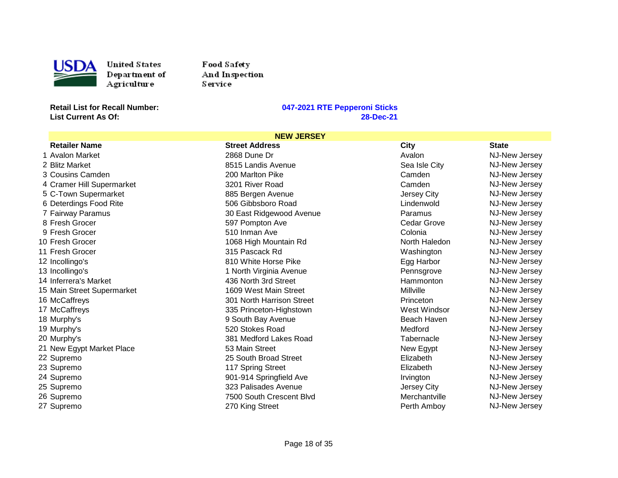

Food Safety And Inspection Service

**List Current As Of:** 

| <b>NEW JERSEY</b>          |                           |                    |               |
|----------------------------|---------------------------|--------------------|---------------|
| <b>Retailer Name</b>       | <b>Street Address</b>     | City               | <b>State</b>  |
| 1 Avalon Market            | 2868 Dune Dr              | Avalon             | NJ-New Jersey |
| 2 Blitz Market             | 8515 Landis Avenue        | Sea Isle City      | NJ-New Jersey |
| 3 Cousins Camden           | 200 Marlton Pike          | Camden             | NJ-New Jersey |
| 4 Cramer Hill Supermarket  | 3201 River Road           | Camden             | NJ-New Jersey |
| 5 C-Town Supermarket       | 885 Bergen Avenue         | Jersey City        | NJ-New Jersey |
| 6 Deterdings Food Rite     | 506 Gibbsboro Road        | Lindenwold         | NJ-New Jersey |
| 7 Fairway Paramus          | 30 East Ridgewood Avenue  | Paramus            | NJ-New Jersey |
| 8 Fresh Grocer             | 597 Pompton Ave           | <b>Cedar Grove</b> | NJ-New Jersey |
| 9 Fresh Grocer             | 510 Inman Ave             | Colonia            | NJ-New Jersey |
| 10 Fresh Grocer            | 1068 High Mountain Rd     | North Haledon      | NJ-New Jersey |
| 11 Fresh Grocer            | 315 Pascack Rd            | Washington         | NJ-New Jersey |
| 12 Incollingo's            | 810 White Horse Pike      | Egg Harbor         | NJ-New Jersey |
| 13 Incollingo's            | 1 North Virginia Avenue   | Pennsgrove         | NJ-New Jersey |
| 14 Inferrera's Market      | 436 North 3rd Street      | Hammonton          | NJ-New Jersey |
| 15 Main Street Supermarket | 1609 West Main Street     | Millville          | NJ-New Jersey |
| 16 McCaffreys              | 301 North Harrison Street | Princeton          | NJ-New Jersey |
| 17 McCaffreys              | 335 Princeton-Highstown   | West Windsor       | NJ-New Jersey |
| 18 Murphy's                | 9 South Bay Avenue        | Beach Haven        | NJ-New Jersey |
| 19 Murphy's                | 520 Stokes Road           | Medford            | NJ-New Jersey |
| 20 Murphy's                | 381 Medford Lakes Road    | Tabernacle         | NJ-New Jersey |
| 21 New Egypt Market Place  | 53 Main Street            | New Egypt          | NJ-New Jersey |
| 22 Supremo                 | 25 South Broad Street     | Elizabeth          | NJ-New Jersey |
| 23 Supremo                 | 117 Spring Street         | Elizabeth          | NJ-New Jersey |
| 24 Supremo                 | 901-914 Springfield Ave   | Irvington          | NJ-New Jersey |
| 25 Supremo                 | 323 Palisades Avenue      | Jersey City        | NJ-New Jersey |
| 26 Supremo                 | 7500 South Crescent Blvd  | Merchantville      | NJ-New Jersey |
| 27 Supremo                 | 270 King Street           | Perth Amboy        | NJ-New Jersey |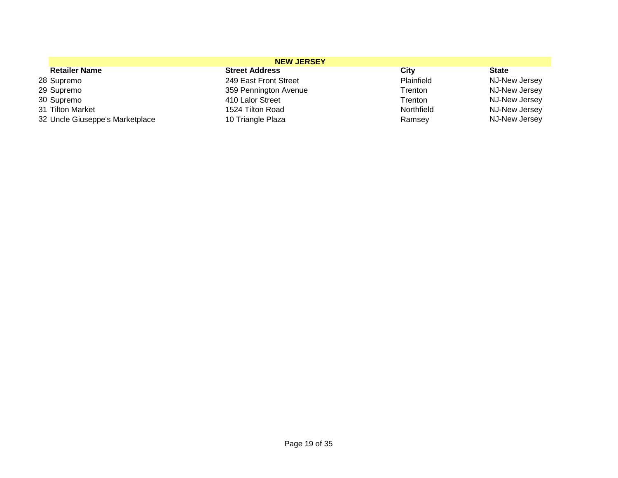|                                 | <b>NEW JERSEY</b>     |            |               |
|---------------------------------|-----------------------|------------|---------------|
| <b>Retailer Name</b>            | <b>Street Address</b> | City       | <b>State</b>  |
| 28 Supremo                      | 249 East Front Street | Plainfield | NJ-New Jersey |
| 29 Supremo                      | 359 Pennington Avenue | Trenton    | NJ-New Jersey |
| 30 Supremo                      | 410 Lalor Street      | Trenton    | NJ-New Jersey |
| 31 Tilton Market                | 1524 Tilton Road      | Northfield | NJ-New Jersey |
| 32 Uncle Giuseppe's Marketplace | 10 Triangle Plaza     | Ramsey     | NJ-New Jersey |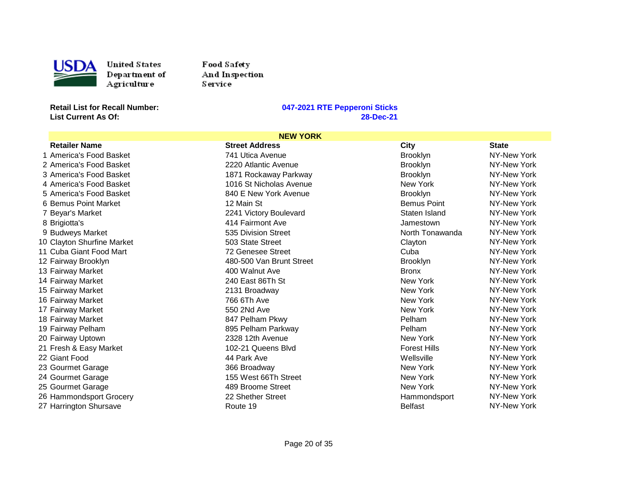

Food Safety And Inspection Service

**List Current As Of:** 

| <b>NEW YORK</b>            |                          |                     |              |
|----------------------------|--------------------------|---------------------|--------------|
| <b>Retailer Name</b>       | <b>Street Address</b>    | <b>City</b>         | <b>State</b> |
| 1 America's Food Basket    | 741 Utica Avenue         | <b>Brooklyn</b>     | NY-New York  |
| 2 America's Food Basket    | 2220 Atlantic Avenue     | <b>Brooklyn</b>     | NY-New York  |
| 3 America's Food Basket    | 1871 Rockaway Parkway    | <b>Brooklyn</b>     | NY-New York  |
| 4 America's Food Basket    | 1016 St Nicholas Avenue  | New York            | NY-New York  |
| 5 America's Food Basket    | 840 E New York Avenue    | Brooklyn            | NY-New York  |
| 6 Bemus Point Market       | 12 Main St               | <b>Bemus Point</b>  | NY-New York  |
| 7 Beyar's Market           | 2241 Victory Boulevard   | Staten Island       | NY-New York  |
| 8 Brigiotta's              | 414 Fairmont Ave         | Jamestown           | NY-New York  |
| 9 Budweys Market           | 535 Division Street      | North Tonawanda     | NY-New York  |
| 10 Clayton Shurfine Market | 503 State Street         | Clayton             | NY-New York  |
| 11 Cuba Giant Food Mart    | 72 Genesee Street        | Cuba                | NY-New York  |
| 12 Fairway Brooklyn        | 480-500 Van Brunt Street | <b>Brooklyn</b>     | NY-New York  |
| 13 Fairway Market          | 400 Walnut Ave           | <b>Bronx</b>        | NY-New York  |
| 14 Fairway Market          | 240 East 86Th St         | New York            | NY-New York  |
| 15 Fairway Market          | 2131 Broadway            | New York            | NY-New York  |
| 16 Fairway Market          | 766 6Th Ave              | New York            | NY-New York  |
| 17 Fairway Market          | 550 2Nd Ave              | New York            | NY-New York  |
| 18 Fairway Market          | 847 Pelham Pkwy          | Pelham              | NY-New York  |
| 19 Fairway Pelham          | 895 Pelham Parkway       | Pelham              | NY-New York  |
| 20 Fairway Uptown          | 2328 12th Avenue         | New York            | NY-New York  |
| 21 Fresh & Easy Market     | 102-21 Queens Blvd       | <b>Forest Hills</b> | NY-New York  |
| 22 Giant Food              | 44 Park Ave              | Wellsville          | NY-New York  |
| 23 Gourmet Garage          | 366 Broadway             | New York            | NY-New York  |
| 24 Gourmet Garage          | 155 West 66Th Street     | New York            | NY-New York  |
| 25 Gourmet Garage          | 489 Broome Street        | New York            | NY-New York  |
| 26 Hammondsport Grocery    | 22 Shether Street        | Hammondsport        | NY-New York  |
| 27 Harrington Shursave     | Route 19                 | <b>Belfast</b>      | NY-New York  |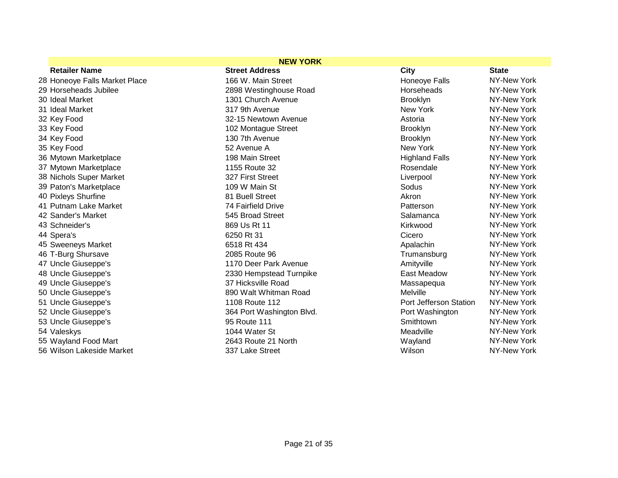|                               | <b>NEW YORK</b>           |                        |              |
|-------------------------------|---------------------------|------------------------|--------------|
| <b>Retailer Name</b>          | <b>Street Address</b>     | <b>City</b>            | <b>State</b> |
| 28 Honeoye Falls Market Place | 166 W. Main Street        | Honeoye Falls          | NY-New York  |
| 29 Horseheads Jubilee         | 2898 Westinghouse Road    | Horseheads             | NY-New York  |
| 30 Ideal Market               | 1301 Church Avenue        | Brooklyn               | NY-New York  |
| 31 Ideal Market               | 317 9th Avenue            | New York               | NY-New York  |
| 32 Key Food                   | 32-15 Newtown Avenue      | Astoria                | NY-New York  |
| 33 Key Food                   | 102 Montague Street       | <b>Brooklyn</b>        | NY-New York  |
| 34 Key Food                   | 130 7th Avenue            | <b>Brooklyn</b>        | NY-New York  |
| 35 Key Food                   | 52 Avenue A               | New York               | NY-New York  |
| 36 Mytown Marketplace         | 198 Main Street           | <b>Highland Falls</b>  | NY-New York  |
| 37 Mytown Marketplace         | 1155 Route 32             | Rosendale              | NY-New York  |
| 38 Nichols Super Market       | 327 First Street          | Liverpool              | NY-New York  |
| 39 Paton's Marketplace        | 109 W Main St             | Sodus                  | NY-New York  |
| 40 Pixleys Shurfine           | 81 Buell Street           | Akron                  | NY-New York  |
| 41 Putnam Lake Market         | 74 Fairfield Drive        | Patterson              | NY-New York  |
| 42 Sander's Market            | 545 Broad Street          | Salamanca              | NY-New York  |
| 43 Schneider's                | 869 Us Rt 11              | Kirkwood               | NY-New York  |
| 44 Spera's                    | 6250 Rt 31                | Cicero                 | NY-New York  |
| 45 Sweeneys Market            | 6518 Rt 434               | Apalachin              | NY-New York  |
| 46 T-Burg Shursave            | 2085 Route 96             | Trumansburg            | NY-New York  |
| 47 Uncle Giuseppe's           | 1170 Deer Park Avenue     | Amityville             | NY-New York  |
| 48 Uncle Giuseppe's           | 2330 Hempstead Turnpike   | East Meadow            | NY-New York  |
| 49 Uncle Giuseppe's           | 37 Hicksville Road        | Massapequa             | NY-New York  |
| 50 Uncle Giuseppe's           | 890 Walt Whitman Road     | Melville               | NY-New York  |
| 51 Uncle Giuseppe's           | 1108 Route 112            | Port Jefferson Station | NY-New York  |
| 52 Uncle Giuseppe's           | 364 Port Washington Blvd. | Port Washington        | NY-New York  |
| 53 Uncle Giuseppe's           | 95 Route 111              | Smithtown              | NY-New York  |
| 54 Valeskys                   | 1044 Water St             | Meadville              | NY-New York  |
| 55 Wayland Food Mart          | 2643 Route 21 North       | Wayland                | NY-New York  |
| 56 Wilson Lakeside Market     | 337 Lake Street           | Wilson                 | NY-New York  |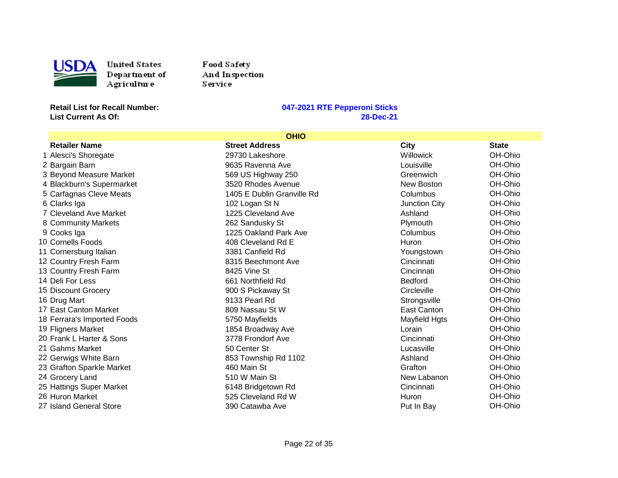

Food Safety And Inspection S ervi ce

**List Current As Of:** 

| <b>OHIO</b>                 |                            |                  |              |
|-----------------------------|----------------------------|------------------|--------------|
| <b>Retailer Name</b>        | <b>Street Address</b>      | City             | <b>State</b> |
| 1 Alesci's Shoregate        | 29730 Lakeshore            | <b>Willowick</b> | OH-Ohio      |
| 2 Bargain Barn              | 9635 Ravenna Ave           | Louisville       | OH-Ohio      |
| 3 Beyond Measure Market     | 569 US Highway 250         | Greenwich        | OH-Ohio      |
| 4 Blackburn's Supermarket   | 3520 Rhodes Avenue         | New Boston       | OH-Ohio      |
| 5 Carfagnas Cleve Meats     | 1405 E Dublin Granville Rd | Columbus         | OH-Ohio      |
| 6 Clarks Iga                | 102 Logan St N             | Junction City    | OH-Ohio      |
| 7 Cleveland Ave Market      | 1225 Cleveland Ave         | Ashland          | OH-Ohio      |
| 8 Community Markets         | 262 Sandusky St            | Plymouth         | OH-Ohio      |
| 9 Cooks Iga                 | 1225 Oakland Park Ave      | Columbus         | OH-Ohio      |
| 10 Cornells Foods           | 408 Cleveland Rd E         | Huron            | OH-Ohio      |
| 11 Cornersburg Italian      | 3381 Canfield Rd           | Youngstown       | OH-Ohio      |
| 12 Country Fresh Farm       | 8315 Beechmont Ave         | Cincinnati       | OH-Ohio      |
| 13 Country Fresh Farm       | 8425 Vine St               | Cincinnati       | OH-Ohio      |
| 14 Deli For Less            | 661 Northfield Rd          | <b>Bedford</b>   | OH-Ohio      |
| 15 Discount Grocery         | 900 S Pickaway St          | Circleville      | OH-Ohio      |
| 16 Drug Mart                | 9133 Pearl Rd              | Strongsville     | OH-Ohio      |
| 17 East Canton Market       | 809 Nassau St W            | East Canton      | OH-Ohio      |
| 18 Ferrara's Imported Foods | 5750 Mayfields             | Mayfield Hgts    | OH-Ohio      |
| 19 Fligners Market          | 1854 Broadway Ave          | Lorain           | OH-Ohio      |
| 20 Frank L Harter & Sons    | 3778 Frondorf Ave          | Cincinnati       | OH-Ohio      |
| 21 Gahms Market             | 50 Center St               | Lucasville       | OH-Ohio      |
| 22 Gerwigs White Barn       | 853 Township Rd 1102       | Ashland          | OH-Ohio      |
| 23 Grafton Sparkle Market   | 460 Main St                | Grafton          | OH-Ohio      |
| 24 Grocery Land             | 510 W Main St              | New Labanon      | OH-Ohio      |
| 25 Hattings Super Market    | 6148 Bridgetown Rd         | Cincinnati       | OH-Ohio      |
| 26 Huron Market             | 525 Cleveland Rd W         | Huron            | OH-Ohio      |
| 27 Island General Store     | 390 Catawba Ave            | Put In Bay       | OH-Ohio      |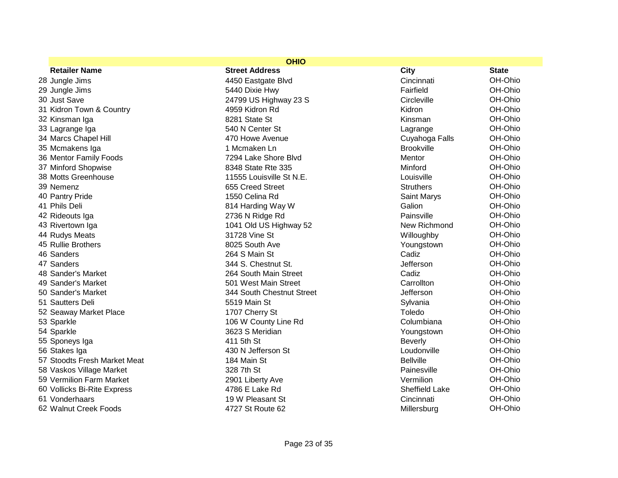|                              | <b>OHIO</b>               |                   |              |
|------------------------------|---------------------------|-------------------|--------------|
| <b>Retailer Name</b>         | <b>Street Address</b>     | <b>City</b>       | <b>State</b> |
| 28 Jungle Jims               | 4450 Eastgate Blvd        | Cincinnati        | OH-Ohio      |
| 29 Jungle Jims               | 5440 Dixie Hwy            | Fairfield         | OH-Ohio      |
| 30 Just Save                 | 24799 US Highway 23 S     | Circleville       | OH-Ohio      |
| 31 Kidron Town & Country     | 4959 Kidron Rd            | Kidron            | OH-Ohio      |
| 32 Kinsman Iga               | 8281 State St             | Kinsman           | OH-Ohio      |
| 33 Lagrange Iga              | 540 N Center St           | Lagrange          | OH-Ohio      |
| 34 Marcs Chapel Hill         | 470 Howe Avenue           | Cuyahoga Falls    | OH-Ohio      |
| 35 Mcmakens Iga              | 1 Mcmaken Ln              | <b>Brookville</b> | OH-Ohio      |
| 36 Mentor Family Foods       | 7294 Lake Shore Blvd      | Mentor            | OH-Ohio      |
| 37 Minford Shopwise          | 8348 State Rte 335        | Minford           | OH-Ohio      |
| 38 Motts Greenhouse          | 11555 Louisville St N.E.  | Louisville        | OH-Ohio      |
| 39 Nemenz                    | 655 Creed Street          | <b>Struthers</b>  | OH-Ohio      |
| 40 Pantry Pride              | 1550 Celina Rd            | Saint Marys       | OH-Ohio      |
| 41 Phils Deli                | 814 Harding Way W         | Galion            | OH-Ohio      |
| 42 Rideouts Iga              | 2736 N Ridge Rd           | Painsville        | OH-Ohio      |
| 43 Rivertown Iga             | 1041 Old US Highway 52    | New Richmond      | OH-Ohio      |
| 44 Rudys Meats               | 31728 Vine St             | Willoughby        | OH-Ohio      |
| 45 Rullie Brothers           | 8025 South Ave            | Youngstown        | OH-Ohio      |
| 46 Sanders                   | 264 S Main St             | Cadiz             | OH-Ohio      |
| 47 Sanders                   | 344 S. Chestnut St.       | Jefferson         | OH-Ohio      |
| 48 Sander's Market           | 264 South Main Street     | Cadiz             | OH-Ohio      |
| 49 Sander's Market           | 501 West Main Street      | Carrollton        | OH-Ohio      |
| 50 Sander's Market           | 344 South Chestnut Street | Jefferson         | OH-Ohio      |
| 51 Sautters Deli             | 5519 Main St              | Sylvania          | OH-Ohio      |
| 52 Seaway Market Place       | 1707 Cherry St            | Toledo            | OH-Ohio      |
| 53 Sparkle                   | 106 W County Line Rd      | Columbiana        | OH-Ohio      |
| 54 Sparkle                   | 3623 S Meridian           | Youngstown        | OH-Ohio      |
| 55 Sponeys Iga               | 411 5th St                | <b>Beverly</b>    | OH-Ohio      |
| 56 Stakes Iga                | 430 N Jefferson St        | Loudonville       | OH-Ohio      |
| 57 Stoodts Fresh Market Meat | 184 Main St               | <b>Bellville</b>  | OH-Ohio      |
| 58 Vaskos Village Market     | 328 7th St                | Painesville       | OH-Ohio      |
| 59 Vermilion Farm Market     | 2901 Liberty Ave          | Vermilion         | OH-Ohio      |
| 60 Vollicks Bi-Rite Express  | 4786 E Lake Rd            | Sheffield Lake    | OH-Ohio      |
| 61 Vonderhaars               | 19 W Pleasant St          | Cincinnati        | OH-Ohio      |
| 62 Walnut Creek Foods        | 4727 St Route 62          | Millersburg       | OH-Ohio      |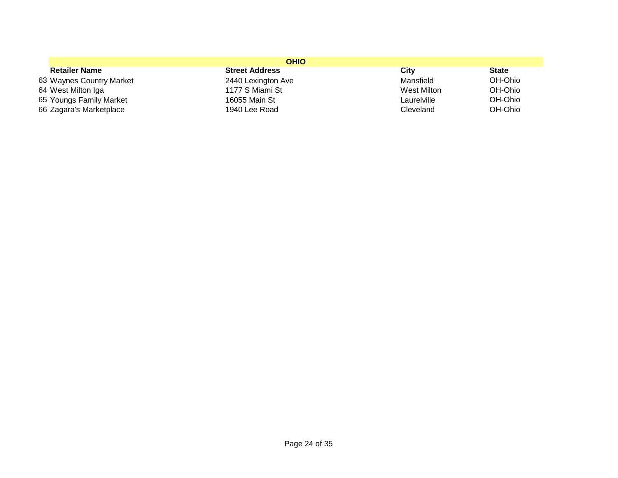| <b>OHIO</b>              |                       |             |              |
|--------------------------|-----------------------|-------------|--------------|
| <b>Retailer Name</b>     | <b>Street Address</b> | City        | <b>State</b> |
| 63 Waynes Country Market | 2440 Lexington Ave    | Mansfield   | OH-Ohio      |
| 64 West Milton Iga       | 1177 S Miami St       | West Milton | OH-Ohio      |
| 65 Youngs Family Market  | 16055 Main St         | Laurelville | OH-Ohio      |
| 66 Zagara's Marketplace  | 1940 Lee Road         | Cleveland   | OH-Ohio      |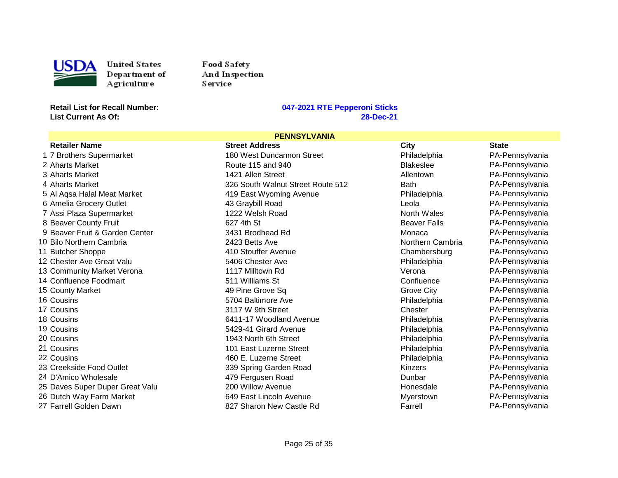

Food Safety And Inspection Service

**Retail List for Recall Number:** 

#### **047-2021 RTE Pepperoni Sticks List Current As Of: 28-Dec-21**

#### **PENNSYLVANIA**<br>Street Address Retailer Name Street Address City State 1 7 Brothers Supermarket 180 West Duncannon Street Philadelphia PA-Pennsylvania 2 Aharts Market Route 115 and 940 Blakeslee PA-Pennsylvania 3 Aharts Market 1421 Allen Street Allentown PA-Pennsylvania 4 Aharts Market **326 South Walnut Street Route 512** Bath PA-Pennsylvania 5 Al Aqsa Halal Meat Market 419 East Wyoming Avenue Philadelphia PA-Pennsylvania 6 Amelia Grocery Outlet 43 Graybill Road Leola PA-Pennsylvania 7 Assi Plaza Supermarket 1222 Welsh Road North Wales PA-Pennsylvania 8 Beaver County Fruit **627 4th St** Beaver Falls PA-Pennsylvania 9 Beaver Fruit & Garden Center **3431 Brodhead Rd** Monaca Monaca PA-Pennsylvania 10 Bilo Northern Cambria 2423 Betts Ave Northern Cambria PA-Pennsylvania 11 Butcher Shoppe 11 Butcher Shoppe 11 Butcher Avenue 2016 12 Butcher Chambersburg PA-Pennsylvania 12 Chester Ave Great Valu 5406 Chester Ave Philadelphia PA-Pennsylvania 13 Community Market Verona 1117 Milltown Rd Verona PA-Pennsylvania 14 Confluence Foodmart **12 Confluence** PA-Pennsylvania **511 Williams St** Confluence **Confluence** PA-Pennsylvania 15 County Market **19 County Market 19 Accord 19 Accord 19 Accord 1** Accord 15 County Market 19 Accord 19 Accord 1 16 Cousins 5704 Baltimore Ave Philadelphia PA-Pennsylvania 17 Cousins The Cousins Cousins Cousins Cousins Cousins Cousins Cousins Cousins PA-Pennsylvania 18 Cousins 6411-17 Woodland Avenue Philadelphia PA-Pennsylvania 19 Cousins 5429-41 Girard Avenue Philadelphia PA-Pennsylvania 20 Cousins 1943 North 6th Street Philadelphia PA-Pennsylvania 21 Cousins 101 East Luzerne Street Philadelphia PA-Pennsylvania 22 Cousins 460 E. Luzerne Street Philadelphia PA-Pennsylvania 23 Creekside Food Outlet **339 Spring Garden Road** Kinzers **Kinzers** PA-Pennsylvania 24 D'Amico Wholesale **1988 Contract de La Contract de La Contract de La Contract de La Contract de La Contract de La Contract de La Contract de La Contract de La Contract de La Contract de La Contract de La Contract de La** 25 Daves Super Duper Great Valu **200 Willow Avenue** Avenue Honesdale **Honesdale** PA-Pennsylvania 26 Dutch Way Farm Market **649 East Lincoln Avenue** Myerstown Myerstown PA-Pennsylvania

27 Farrell Golden Dawn **827 Sharon New Castle Rd** Farrell Farrell PA-Pennsylvania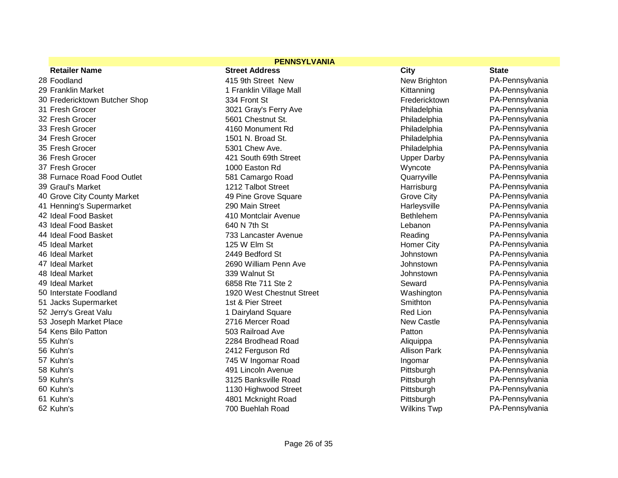| <b>PENNSYLVANIA</b>           |                           |                     |                 |
|-------------------------------|---------------------------|---------------------|-----------------|
| <b>Retailer Name</b>          | <b>Street Address</b>     | City                | <b>State</b>    |
| 28 Foodland                   | 415 9th Street New        | New Brighton        | PA-Pennsylvania |
| 29 Franklin Market            | 1 Franklin Village Mall   | Kittanning          | PA-Pennsylvania |
| 30 Fredericktown Butcher Shop | 334 Front St              | Fredericktown       | PA-Pennsylvania |
| 31 Fresh Grocer               | 3021 Gray's Ferry Ave     | Philadelphia        | PA-Pennsylvania |
| 32 Fresh Grocer               | 5601 Chestnut St.         | Philadelphia        | PA-Pennsylvania |
| 33 Fresh Grocer               | 4160 Monument Rd          | Philadelphia        | PA-Pennsylvania |
| 34 Fresh Grocer               | 1501 N. Broad St.         | Philadelphia        | PA-Pennsylvania |
| 35 Fresh Grocer               | 5301 Chew Ave.            | Philadelphia        | PA-Pennsylvania |
| 36 Fresh Grocer               | 421 South 69th Street     | <b>Upper Darby</b>  | PA-Pennsylvania |
| 37 Fresh Grocer               | 1000 Easton Rd            | Wyncote             | PA-Pennsylvania |
| 38 Furnace Road Food Outlet   | 581 Camargo Road          | Quarryville         | PA-Pennsylvania |
| 39 Graul's Market             | 1212 Talbot Street        | Harrisburg          | PA-Pennsylvania |
| 40 Grove City County Market   | 49 Pine Grove Square      | <b>Grove City</b>   | PA-Pennsylvania |
| 41 Henning's Supermarket      | 290 Main Street           | Harleysville        | PA-Pennsylvania |
| 42 Ideal Food Basket          | 410 Montclair Avenue      | <b>Bethlehem</b>    | PA-Pennsylvania |
| 43 Ideal Food Basket          | 640 N 7th St              | Lebanon             | PA-Pennsylvania |
| 44 Ideal Food Basket          | 733 Lancaster Avenue      | Reading             | PA-Pennsylvania |
| 45 Ideal Market               | 125 W Elm St              | <b>Homer City</b>   | PA-Pennsylvania |
| 46 Ideal Market               | 2449 Bedford St           | Johnstown           | PA-Pennsylvania |
| 47 Ideal Market               | 2690 William Penn Ave     | Johnstown           | PA-Pennsylvania |
| 48 Ideal Market               | 339 Walnut St             | Johnstown           | PA-Pennsylvania |
| 49 Ideal Market               | 6858 Rte 711 Ste 2        | Seward              | PA-Pennsylvania |
| 50 Interstate Foodland        | 1920 West Chestnut Street | Washington          | PA-Pennsylvania |
| 51 Jacks Supermarket          | 1st & Pier Street         | Smithton            | PA-Pennsylvania |
| 52 Jerry's Great Valu         | 1 Dairyland Square        | Red Lion            | PA-Pennsylvania |
| 53 Joseph Market Place        | 2716 Mercer Road          | <b>New Castle</b>   | PA-Pennsylvania |
| 54 Kens Bilo Patton           | 503 Railroad Ave          | Patton              | PA-Pennsylvania |
| 55 Kuhn's                     | 2284 Brodhead Road        | Aliquippa           | PA-Pennsylvania |
| 56 Kuhn's                     | 2412 Ferguson Rd          | <b>Allison Park</b> | PA-Pennsylvania |
| 57 Kuhn's                     | 745 W Ingomar Road        | Ingomar             | PA-Pennsylvania |
| 58 Kuhn's                     | 491 Lincoln Avenue        | Pittsburgh          | PA-Pennsylvania |
| 59 Kuhn's                     | 3125 Banksville Road      | Pittsburgh          | PA-Pennsylvania |
| 60 Kuhn's                     | 1130 Highwood Street      | Pittsburgh          | PA-Pennsylvania |
| 61 Kuhn's                     | 4801 Mcknight Road        | Pittsburgh          | PA-Pennsylvania |
| 62 Kuhn's                     | 700 Buehlah Road          | <b>Wilkins Twp</b>  | PA-Pennsylvania |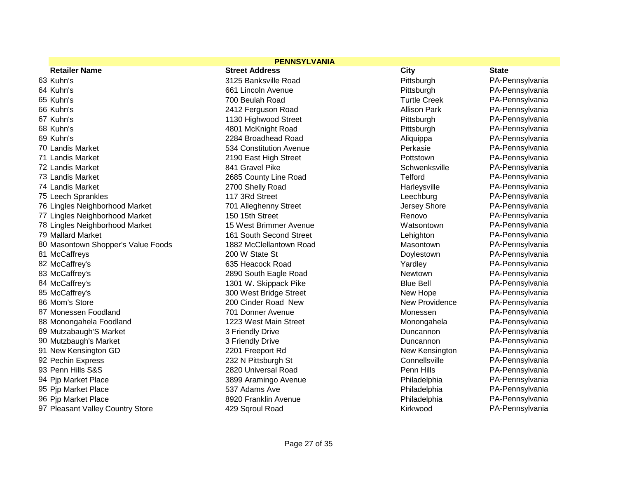| <b>PENNSYLVANIA</b>                |                         |                       |                 |
|------------------------------------|-------------------------|-----------------------|-----------------|
| <b>Retailer Name</b>               | <b>Street Address</b>   | <b>City</b>           | <b>State</b>    |
| 63 Kuhn's                          | 3125 Banksville Road    | Pittsburgh            | PA-Pennsylvania |
| 64 Kuhn's                          | 661 Lincoln Avenue      | Pittsburgh            | PA-Pennsylvania |
| 65 Kuhn's                          | 700 Beulah Road         | <b>Turtle Creek</b>   | PA-Pennsylvania |
| 66 Kuhn's                          | 2412 Ferguson Road      | <b>Allison Park</b>   | PA-Pennsylvania |
| 67 Kuhn's                          | 1130 Highwood Street    | Pittsburgh            | PA-Pennsylvania |
| 68 Kuhn's                          | 4801 McKnight Road      | Pittsburgh            | PA-Pennsylvania |
| 69 Kuhn's                          | 2284 Broadhead Road     | Aliquippa             | PA-Pennsylvania |
| 70 Landis Market                   | 534 Constitution Avenue | Perkasie              | PA-Pennsylvania |
| 71 Landis Market                   | 2190 East High Street   | Pottstown             | PA-Pennsylvania |
| 72 Landis Market                   | 841 Gravel Pike         | Schwenksville         | PA-Pennsylvania |
| 73 Landis Market                   | 2685 County Line Road   | Telford               | PA-Pennsylvania |
| 74 Landis Market                   | 2700 Shelly Road        | Harleysville          | PA-Pennsylvania |
| 75 Leech Sprankles                 | 117 3Rd Street          | Leechburg             | PA-Pennsylvania |
| 76 Lingles Neighborhood Market     | 701 Alleghenny Street   | Jersey Shore          | PA-Pennsylvania |
| 77 Lingles Neighborhood Market     | 150 15th Street         | Renovo                | PA-Pennsylvania |
| 78 Lingles Neighborhood Market     | 15 West Brimmer Avenue  | Watsontown            | PA-Pennsylvania |
| 79 Mallard Market                  | 161 South Second Street | Lehighton             | PA-Pennsylvania |
| 80 Masontown Shopper's Value Foods | 1882 McClellantown Road | Masontown             | PA-Pennsylvania |
| 81 McCaffreys                      | 200 W State St          | Doylestown            | PA-Pennsylvania |
| 82 McCaffrey's                     | 635 Heacock Road        | Yardley               | PA-Pennsylvania |
| 83 McCaffrey's                     | 2890 South Eagle Road   | Newtown               | PA-Pennsylvania |
| 84 McCaffrey's                     | 1301 W. Skippack Pike   | <b>Blue Bell</b>      | PA-Pennsylvania |
| 85 McCaffrey's                     | 300 West Bridge Street  | New Hope              | PA-Pennsylvania |
| 86 Mom's Store                     | 200 Cinder Road New     | <b>New Providence</b> | PA-Pennsylvania |
| 87 Monessen Foodland               | 701 Donner Avenue       | Monessen              | PA-Pennsylvania |
| 88 Monongahela Foodland            | 1223 West Main Street   | Monongahela           | PA-Pennsylvania |
| 89 Mutzabaugh'S Market             | 3 Friendly Drive        | Duncannon             | PA-Pennsylvania |
| 90 Mutzbaugh's Market              | 3 Friendly Drive        | Duncannon             | PA-Pennsylvania |
| 91 New Kensington GD               | 2201 Freeport Rd        | New Kensington        | PA-Pennsylvania |
| 92 Pechin Express                  | 232 N Pittsburgh St     | Connellsville         | PA-Pennsylvania |
| 93 Penn Hills S&S                  | 2820 Universal Road     | Penn Hills            | PA-Pennsylvania |
| 94 Pjp Market Place                | 3899 Aramingo Avenue    | Philadelphia          | PA-Pennsylvania |
| 95 Pjp Market Place                | 537 Adams Ave           | Philadelphia          | PA-Pennsylvania |
| 96 Pjp Market Place                | 8920 Franklin Avenue    | Philadelphia          | PA-Pennsylvania |
| 97 Pleasant Valley Country Store   | 429 Sqroul Road         | Kirkwood              | PA-Pennsylvania |

Page 27 of 35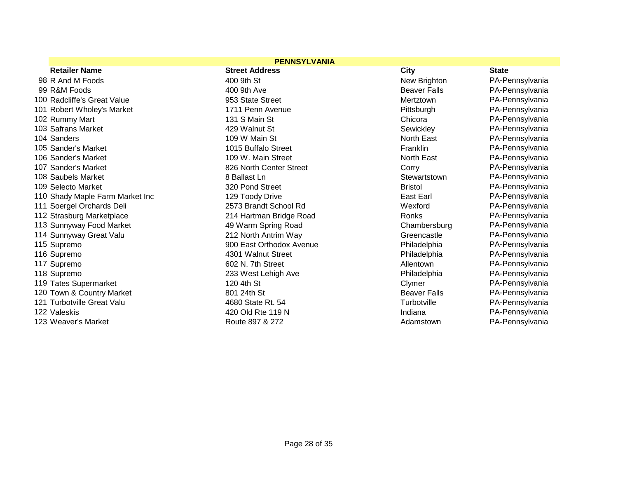| <b>PENNSYLVANIA</b>             |                          |                     |                 |
|---------------------------------|--------------------------|---------------------|-----------------|
| <b>Retailer Name</b>            | <b>Street Address</b>    | <b>City</b>         | <b>State</b>    |
| 98 R And M Foods                | 400 9th St               | New Brighton        | PA-Pennsylvania |
| 99 R&M Foods                    | 400 9th Ave              | <b>Beaver Falls</b> | PA-Pennsylvania |
| 100 Radcliffe's Great Value     | 953 State Street         | Mertztown           | PA-Pennsylvania |
| 101 Robert Wholey's Market      | 1711 Penn Avenue         | Pittsburgh          | PA-Pennsylvania |
| 102 Rummy Mart                  | 131 S Main St            | Chicora             | PA-Pennsylvania |
| 103 Safrans Market              | 429 Walnut St            | Sewickley           | PA-Pennsylvania |
| 104 Sanders                     | 109 W Main St            | North East          | PA-Pennsylvania |
| 105 Sander's Market             | 1015 Buffalo Street      | Franklin            | PA-Pennsylvania |
| 106 Sander's Market             | 109 W. Main Street       | North East          | PA-Pennsylvania |
| 107 Sander's Market             | 826 North Center Street  | Corry               | PA-Pennsylvania |
| 108 Saubels Market              | 8 Ballast Ln             | Stewartstown        | PA-Pennsylvania |
| 109 Selecto Market              | 320 Pond Street          | <b>Bristol</b>      | PA-Pennsylvania |
| 110 Shady Maple Farm Market Inc | 129 Toody Drive          | East Earl           | PA-Pennsylvania |
| 111 Soergel Orchards Deli       | 2573 Brandt School Rd    | Wexford             | PA-Pennsylvania |
| 112 Strasburg Marketplace       | 214 Hartman Bridge Road  | Ronks               | PA-Pennsylvania |
| 113 Sunnyway Food Market        | 49 Warm Spring Road      | Chambersburg        | PA-Pennsylvania |
| 114 Sunnyway Great Valu         | 212 North Antrim Way     | Greencastle         | PA-Pennsylvania |
| 115 Supremo                     | 900 East Orthodox Avenue | Philadelphia        | PA-Pennsylvania |
| 116 Supremo                     | 4301 Walnut Street       | Philadelphia        | PA-Pennsylvania |
| 117 Supremo                     | 602 N. 7th Street        | Allentown           | PA-Pennsylvania |
| 118 Supremo                     | 233 West Lehigh Ave      | Philadelphia        | PA-Pennsylvania |
| 119 Tates Supermarket           | 120 4th St               | Clymer              | PA-Pennsylvania |
| 120 Town & Country Market       | 801 24th St              | <b>Beaver Falls</b> | PA-Pennsylvania |
| 121 Turbotville Great Valu      | 4680 State Rt. 54        | Turbotville         | PA-Pennsylvania |
| 122 Valeskis                    | 420 Old Rte 119 N        | Indiana             | PA-Pennsylvania |
| 123 Weaver's Market             | Route 897 & 272          | Adamstown           | PA-Pennsylvania |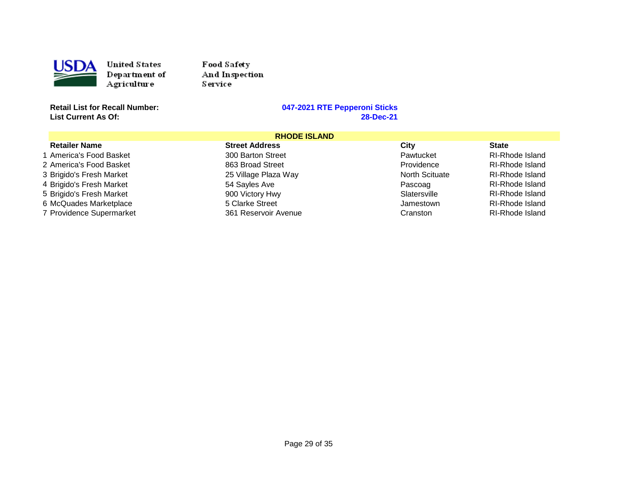

Food Safety And Inspection Service

**List Current As Of:** 

|                          | <b>RHODE ISLAND</b>   |                       |                        |  |
|--------------------------|-----------------------|-----------------------|------------------------|--|
| <b>Retailer Name</b>     | <b>Street Address</b> | City                  | <b>State</b>           |  |
| 1 America's Food Basket  | 300 Barton Street     | Pawtucket             | RI-Rhode Island        |  |
| 2 America's Food Basket  | 863 Broad Street      | Providence            | <b>RI-Rhode Island</b> |  |
| 3 Brigido's Fresh Market | 25 Village Plaza Way  | <b>North Scituate</b> | RI-Rhode Island        |  |
| 4 Brigido's Fresh Market | 54 Sayles Ave         | Pascoag               | <b>RI-Rhode Island</b> |  |
| 5 Brigido's Fresh Market | 900 Victory Hwy       | Slatersville          | RI-Rhode Island        |  |
| 6 McQuades Marketplace   | 5 Clarke Street       | Jamestown             | RI-Rhode Island        |  |
| 7 Providence Supermarket | 361 Reservoir Avenue  | Cranston              | RI-Rhode Island        |  |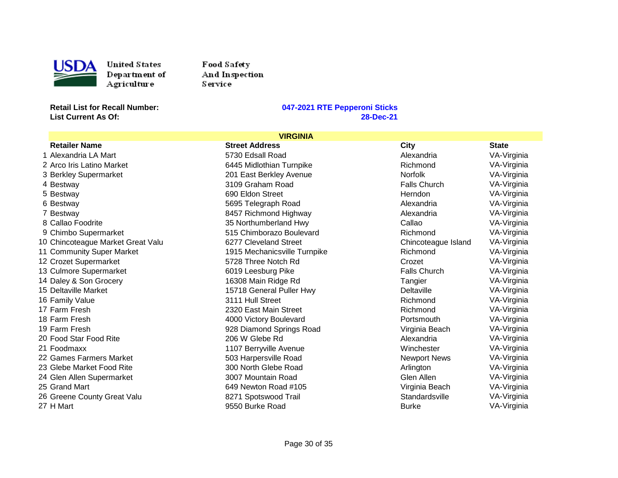

Food Safety And Inspection Service

**List Current As Of:** 

| <b>VIRGINIA</b>                   |                              |                     |              |
|-----------------------------------|------------------------------|---------------------|--------------|
| <b>Retailer Name</b>              | <b>Street Address</b>        | City                | <b>State</b> |
| 1 Alexandria LA Mart              | 5730 Edsall Road             | Alexandria          | VA-Virginia  |
| 2 Arco Iris Latino Market         | 6445 Midlothian Turnpike     | Richmond            | VA-Virginia  |
| 3 Berkley Supermarket             | 201 East Berkley Avenue      | <b>Norfolk</b>      | VA-Virginia  |
| 4 Bestway                         | 3109 Graham Road             | <b>Falls Church</b> | VA-Virginia  |
| 5 Bestway                         | 690 Eldon Street             | Herndon             | VA-Virginia  |
| 6 Bestway                         | 5695 Telegraph Road          | Alexandria          | VA-Virginia  |
| 7 Bestway                         | 8457 Richmond Highway        | Alexandria          | VA-Virginia  |
| 8 Callao Foodrite                 | 35 Northumberland Hwy        | Callao              | VA-Virginia  |
| 9 Chimbo Supermarket              | 515 Chimborazo Boulevard     | Richmond            | VA-Virginia  |
| 10 Chincoteague Market Great Valu | 6277 Cleveland Street        | Chincoteague Island | VA-Virginia  |
| 11 Community Super Market         | 1915 Mechanicsville Turnpike | Richmond            | VA-Virginia  |
| 12 Crozet Supermarket             | 5728 Three Notch Rd          | Crozet              | VA-Virginia  |
| 13 Culmore Supermarket            | 6019 Leesburg Pike           | <b>Falls Church</b> | VA-Virginia  |
| 14 Daley & Son Grocery            | 16308 Main Ridge Rd          | Tangier             | VA-Virginia  |
| 15 Deltaville Market              | 15718 General Puller Hwy     | <b>Deltaville</b>   | VA-Virginia  |
| 16 Family Value                   | 3111 Hull Street             | Richmond            | VA-Virginia  |
| 17 Farm Fresh                     | 2320 East Main Street        | Richmond            | VA-Virginia  |
| 18 Farm Fresh                     | 4000 Victory Boulevard       | Portsmouth          | VA-Virginia  |
| 19 Farm Fresh                     | 928 Diamond Springs Road     | Virginia Beach      | VA-Virginia  |
| 20 Food Star Food Rite            | 206 W Glebe Rd               | Alexandria          | VA-Virginia  |
| 21 Foodmaxx                       | 1107 Berryville Avenue       | Winchester          | VA-Virginia  |
| 22 Games Farmers Market           | 503 Harpersville Road        | <b>Newport News</b> | VA-Virginia  |
| 23 Glebe Market Food Rite         | 300 North Glebe Road         | Arlington           | VA-Virginia  |
| 24 Glen Allen Supermarket         | 3007 Mountain Road           | Glen Allen          | VA-Virginia  |
| 25 Grand Mart                     | 649 Newton Road #105         | Virginia Beach      | VA-Virginia  |
| 26 Greene County Great Valu       | 8271 Spotswood Trail         | Standardsville      | VA-Virginia  |
| 27 H Mart                         | 9550 Burke Road              | <b>Burke</b>        | VA-Virginia  |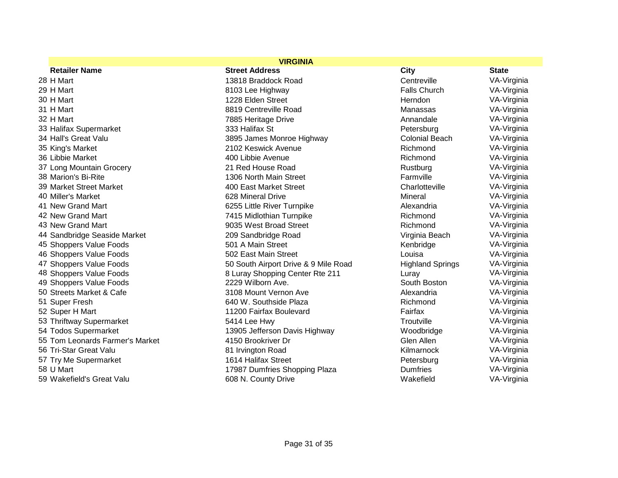| <b>VIRGINIA</b>                 |                                      |                         |              |
|---------------------------------|--------------------------------------|-------------------------|--------------|
| <b>Retailer Name</b>            | <b>Street Address</b>                | City                    | <b>State</b> |
| 28 H Mart                       | 13818 Braddock Road                  | Centreville             | VA-Virginia  |
| 29 H Mart                       | 8103 Lee Highway                     | <b>Falls Church</b>     | VA-Virginia  |
| 30 H Mart                       | 1228 Elden Street                    | Herndon                 | VA-Virginia  |
| 31 H Mart                       | 8819 Centreville Road                | Manassas                | VA-Virginia  |
| 32 H Mart                       | 7885 Heritage Drive                  | Annandale               | VA-Virginia  |
| 33 Halifax Supermarket          | 333 Halifax St                       | Petersburg              | VA-Virginia  |
| 34 Hall's Great Valu            | 3895 James Monroe Highway            | <b>Colonial Beach</b>   | VA-Virginia  |
| 35 King's Market                | 2102 Keswick Avenue                  | Richmond                | VA-Virginia  |
| 36 Libbie Market                | 400 Libbie Avenue                    | Richmond                | VA-Virginia  |
| 37 Long Mountain Grocery        | 21 Red House Road                    | Rustburg                | VA-Virginia  |
| 38 Marion's Bi-Rite             | 1306 North Main Street               | Farmville               | VA-Virginia  |
| 39 Market Street Market         | 400 East Market Street               | Charlotteville          | VA-Virginia  |
| 40 Miller's Market              | 628 Mineral Drive                    | Mineral                 | VA-Virginia  |
| 41 New Grand Mart               | 6255 Little River Turnpike           | Alexandria              | VA-Virginia  |
| 42 New Grand Mart               | 7415 Midlothian Turnpike             | Richmond                | VA-Virginia  |
| 43 New Grand Mart               | 9035 West Broad Street               | Richmond                | VA-Virginia  |
| 44 Sandbridge Seaside Market    | 209 Sandbridge Road                  | Virginia Beach          | VA-Virginia  |
| 45 Shoppers Value Foods         | 501 A Main Street                    | Kenbridge               | VA-Virginia  |
| 46 Shoppers Value Foods         | 502 East Main Street                 | Louisa                  | VA-Virginia  |
| 47 Shoppers Value Foods         | 50 South Airport Drive & 9 Mile Road | <b>Highland Springs</b> | VA-Virginia  |
| 48 Shoppers Value Foods         | 8 Luray Shopping Center Rte 211      | Luray                   | VA-Virginia  |
| 49 Shoppers Value Foods         | 2229 Wilborn Ave.                    | South Boston            | VA-Virginia  |
| 50 Streets Market & Cafe        | 3108 Mount Vernon Ave                | Alexandria              | VA-Virginia  |
| 51 Super Fresh                  | 640 W. Southside Plaza               | Richmond                | VA-Virginia  |
| 52 Super H Mart                 | 11200 Fairfax Boulevard              | Fairfax                 | VA-Virginia  |
| 53 Thriftway Supermarket        | 5414 Lee Hwy                         | Troutville              | VA-Virginia  |
| 54 Todos Supermarket            | 13905 Jefferson Davis Highway        | Woodbridge              | VA-Virginia  |
| 55 Tom Leonards Farmer's Market | 4150 Brookriver Dr                   | Glen Allen              | VA-Virginia  |
| 56 Tri-Star Great Valu          | 81 Irvington Road                    | Kilmarnock              | VA-Virginia  |
| 57 Try Me Supermarket           | 1614 Halifax Street                  | Petersburg              | VA-Virginia  |
| 58 U Mart                       | 17987 Dumfries Shopping Plaza        | <b>Dumfries</b>         | VA-Virginia  |
| 59 Wakefield's Great Valu       | 608 N. County Drive                  | Wakefield               | VA-Virginia  |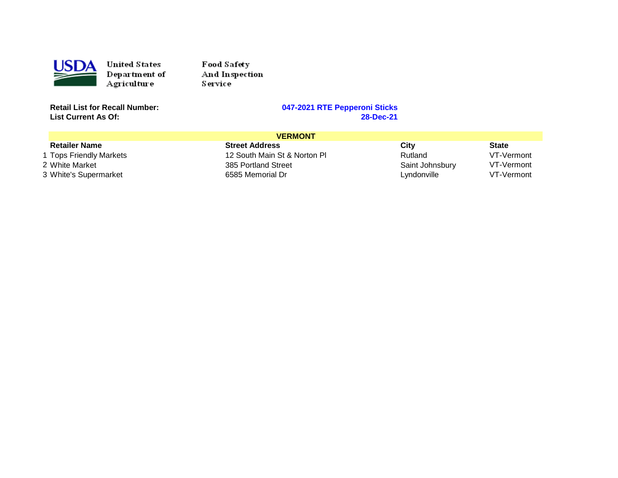

Food Safety And Inspection Service<sup>1</sup>

**List Current As Of:** 

# **Rata Concident Concident Concident Concident** Concident Pepperoni Sticks **28-Dec-21**

| <b>VERMONT</b>          |                              |                 |              |
|-------------------------|------------------------------|-----------------|--------------|
| <b>Retailer Name</b>    | <b>Street Address</b>        | City            | <b>State</b> |
| 1 Tops Friendly Markets | 12 South Main St & Norton Pl | Rutland         | VT-Vermont   |
| 2 White Market          | 385 Portland Street          | Saint Johnsbury | VT-Vermont   |
| 3 White's Supermarket   | 6585 Memorial Dr             | Lyndonville     | VT-Vermont   |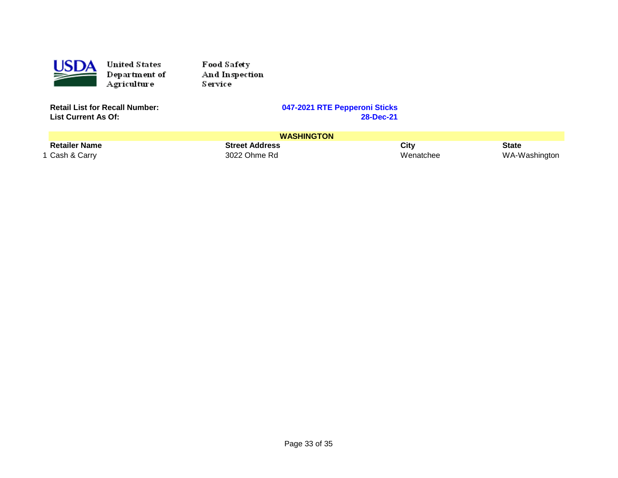

Food Safety And Inspection Service

**List Current As Of:** 

| <b>WASHINGTON</b>    |                       |           |               |  |
|----------------------|-----------------------|-----------|---------------|--|
| <b>Retailer Name</b> | <b>Street Address</b> | City      | State         |  |
| 1 Cash & Carry       | 3022 Ohme Rd          | Wenatchee | WA-Washington |  |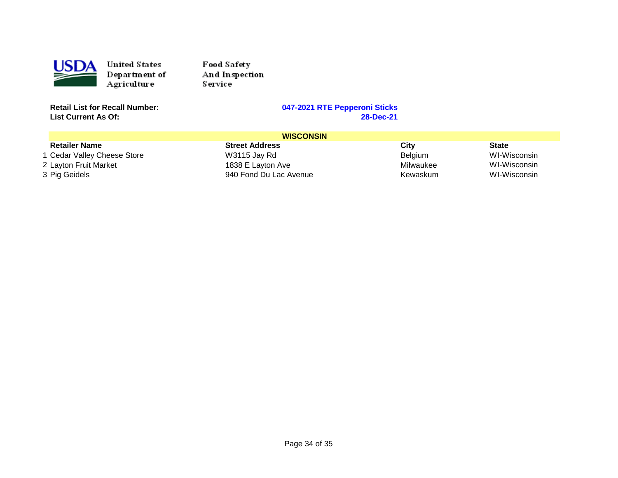

Food Safety And Inspection S ervi ce

**List Current As Of:** 

| <b>WISCONSIN</b>            |                        |                |              |
|-----------------------------|------------------------|----------------|--------------|
| <b>Retailer Name</b>        | <b>Street Address</b>  | City           | <b>State</b> |
| 1 Cedar Valley Cheese Store | W3115 Jay Rd           | <b>Belgium</b> | WI-Wisconsin |
| 2 Layton Fruit Market       | 1838 E Layton Ave      | Milwaukee      | WI-Wisconsin |
| 3 Pig Geidels               | 940 Fond Du Lac Avenue | Kewaskum       | WI-Wisconsin |